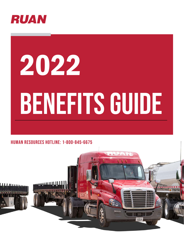

# 2022 BENEFITS GUIDE

#### Human Resources Hotline: 1-800-845-6675



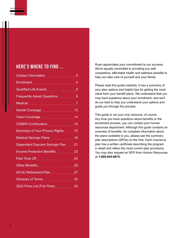#### Here's where to find ...

| Contact Information                                                                                                                                                                                                                  | 3               |
|--------------------------------------------------------------------------------------------------------------------------------------------------------------------------------------------------------------------------------------|-----------------|
| Enrollment___________________________________                                                                                                                                                                                        | $\overline{4}$  |
| Qualified Life Events <b>Contract Contract Contract Contract Contract Contract Control</b>                                                                                                                                           | 5               |
| <b>Frequently Asked Questions</b>                                                                                                                                                                                                    | $6\phantom{1}6$ |
|                                                                                                                                                                                                                                      |                 |
| Dental Coveragestally and the 13                                                                                                                                                                                                     |                 |
| Vision Coverage <b>Contains the Coverage Coverage Coverage</b>                                                                                                                                                                       | 14              |
| COBRA Continuation <b>Manual COBRA</b> Continuation 14                                                                                                                                                                               |                 |
| Summary of Your Privacy Rights 15                                                                                                                                                                                                    |                 |
| Medical Savings Plans 16                                                                                                                                                                                                             |                 |
| Dependent Daycare Savings Plan 21                                                                                                                                                                                                    |                 |
| Income Protection Benefits 22                                                                                                                                                                                                        |                 |
| Paid Time Off <b>Container the Contract of Time</b>                                                                                                                                                                                  | 24              |
|                                                                                                                                                                                                                                      | 25              |
| 401(k) Retirement Plan                                                                                                                                                                                                               | 27              |
| Glossary of Terms <b>Contract Contract Contract Contract Contract Contract Contract Contract Contract Contract Contract Contract Contract Contract Contract Contract Contract Contract Contract Contract Contract Contract Contr</b> | 30              |
| 2022 Price List (Full-Time)                                                                                                                                                                                                          | 33              |

Ruan appreciates your commitment to our success. We're equally committed to providing you with competitive, affordable health and wellness benefits to help you take care of yourself and your family.

Please read this guide carefully. It has a summary of your plan options and helpful tips for getting the most value from your benefit plans. We understand that you may have questions about your enrollment, and we'll do our best to help you understand your options and guide you through the process.

This guide is not your only resource, of course. Any time you have questions about benefits or the enrollment process, you can contact your human resources department. Although this guide contains an overview of benefits, for complete information about the plans available to you, please see the summary plan descriptions (SPDs) on the Hub. Each insurance plan has a written certificate describing the program in detail and reflect the most current plan provisions. You may also request an SPD from Human Resources at **1-800-845-6675.**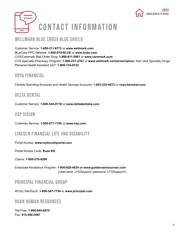

## <span id="page-2-0"></span>Contact Information

#### WELLMARK BLUE CROSS BLUE SHIELD

Customer Service: **1-800-211-6773** or **www.wellmark.com** BlueCard PPO Network: **1-800-810-BLUE** or **www.bcbs.com** CVS/Caremark Mail Order Drug: **1-866-611-5961** or **www.caremark.com** CVS Specialty Pharmacy Program: **1-800-237-2767** or **www.wellmark.com/prescription,** then click Specialty Drugs Personal Health Assistant 24/7: **1-800-724-9122**

#### Voya Financial

Flexible Spending Accounts and Health Savings Accounts: **1-833-232-4673** or **voya.benstrat.com**

#### Delta Dental

Customer Service: **1-800-544-0718** or **www.deltadentalia.com**

#### VSP Vision

Customer Service: **1-800-877-7195** or **www.vsp.com**

#### Lincoln Financial Life and Disability

Portal Access: **www.mylincolnportal.com**

Portal Access Code: **Ruan-EE**

Claims: **1-800-210-0268**

Employee Assistance Program: **1-800-628-4824 or www.guidanceresources.com** (Username: LFGSupport; password: LFGSupport1)

#### Principal Financial Group

401(k) TeleTouch: **1-800-547-7754** or **www.principal.com**

#### Ruan Human Resources

Toll-Free: **1-800-845-6675** Fax: **515-558-3497**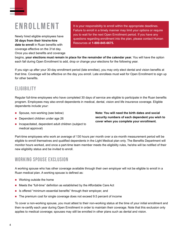## <span id="page-3-0"></span>Enrollment

Newly hired eligible employees have **30 days from their hire/re-hire date to enroll** in Ruan benefits with coverage effective on the 31st day. Once you elect benefits and coverage It is your responsibility to enroll within the appropriate deadlines. Failure to enroll in a timely manner may limit your options or require you to wait for the next Open Enrollment period. If you have any questions regarding enrollment into the plan, please contact Human Resources at **1-800-845-6675.**

begins, **your elections must remain in place for the remainder of the calendar year.** You will have the option each fall during Open Enrollment to add, drop or change your elections for the following year.

If you sign up after your 30-day enrollment period (late enrollee), you may only elect dental and vision benefits at that time. Coverage will be effective on the day you enroll. Late enrollees must wait for Open Enrollment to sign up for other benefits.

#### **ELIGIBILITY**

Regular full-time employees who have completed 30 days of service are eligible to participate in the Ruan benefits program. Employees may also enroll dependents in medical, dental, vision and life insurance coverage. Eligible dependents include your:

- Spouse, non-working (see below)
- Dependent children under age 26
- **n** Incapacitated, dependent adult children (subject to medical approval)

**Note: You will need the birth dates and social security numbers of each dependent you wish to cover when you complete your enrollment.**

Part-time employees who work an average of 130 hours per month over a six-month measurement period will be eligible to enroll themselves and qualified dependents in the Light Medical plan only. The Benefits Department will monitor hours worked, and once a part-time team member meets the eligibility rules, he/she will be notified of their new eligibility status and be invited to enroll.

#### Working Spouse Exclusion

A working spouse who has other coverage available through their own employer will not be eligible to enroll in a Ruan medical plan. A working spouse is defined as:

- Working outside the home
- Meets the "full-time" definition as established by the Affordable Care Act
- Is offered "minimum essential benefits" through their employer, and
- The premium cost for single coverage does not exceed 9.5 percent of income

To cover a non-working spouse, you must attest to their non-working status at the time of your initial enrollment and then re-certify each year during Open Enrollment in order to maintain their coverage. Note that this exclusion only applies to medical coverage; spouses may still be enrolled in other plans such as dental and vision.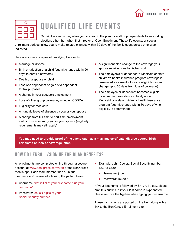

<span id="page-4-0"></span>

| Ο               |  |
|-----------------|--|
| 1 F F<br>$\Box$ |  |

## QUALIFIED LIFE EVENTS

Certain life events may allow you to enroll in the plan, or add/drop dependents to an existing election, other than when first hired or at Open Enrollment. These life events, or special

enrollment periods, allow you to make related changes within 30 days of the family event unless otherwise indicated.

Here are some examples of qualifying life events:

- **Marriage or divorce**
- Birth or adoption of a child (submit change within  $90$ days to enroll a newborn)
- Death of a spouse or child
- **Loss of a dependent or gain of a dependent** for tax purposes
- A change in your spouse's employment
- **Loss of other group coverage, including COBRA**
- **Eligibility for Medicare**
- An unpaid leave of absence by you or your spouse
- A change from full-time to part-time employment status or vice versa by you or your spouse (eligibility requirements may still apply)
- A significant plan change to the coverage your spouse received due to his/her work
- The employee's or dependent's Medicaid or state children's health insurance program coverage is terminated as a result of loss of eligibility (submit change up to 60 days from loss of coverage)
- $\blacksquare$  The employee or dependent becomes eligible for a premium assistance subsidy under Medicaid or a state children's health insurance program (submit change within 60 days of when eligibility is determined)

**You may need to provide proof of the event, such as a marriage certificate, divorce decree, birth certificate or loss-of-coverage letter.**

#### How do I enroll/sign up for Ruan Benefits?

All enrollments are completed online through a secure account at www.benxpress.com/ruan or the BenXpress mobile app. Each team member has a unique username and password following the pattern below:

- **Username: first initial of your first name plus your** last name\*
- Password: last six digits of your Social Security number
- **Example: John Doe Jr., Social Security number:** 123-45-6789
	- Username: jdoe
	- $\bullet$  Password: 456789

\*If your last name is followed by Sr., Jr., III, etc., please omit this suffix. Or, if your last name is hyphenated, please remove the hyphen when typing your username.

These instructions are posted on the Hub along with a link to the BenXpress Enrollment site.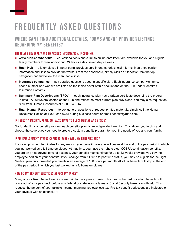## <span id="page-5-0"></span>FREQUENTLY ASKED QUESTIONS

#### Where can I find additional details, forms and/or provider listings regarding my benefits?

#### There are several ways to access information, including:

- **www.ruan.com/benefits —** educational tools and a link to online enrollment are available for you and eligible family members to view and/or print 24 hours a day, seven days a week.
- **Ruan Hub —** this employee intranet portal provides enrollment materials, claim forms, insurance carrier information and links to provider networks. From the dashboard, simply click on "Benefits" from the top navigation bar and follow the menu topic links.
- **Insurance companies —** ask detailed questions about a specific plan. Each insurance company's name, phone number and website are listed on the inside cover of this booklet and on the Hub under Benefits > Insurance Contacts.
- **Summary Plan Descriptions (SPDs)** each insurance plan has a written certificate describing the program in detail. All SPDs are located on the Hub and reflect the most current plan provisions. You may also request an SPD from Human Resources at 1-800-845-6675.
- **Ruan Human Resources —** to ask general questions or request printed materials, simply call the Human Resources Hotline at 1-800-845-6675 during business hours or email benefits@ruan.com.

#### If I elect a medical plan, do I also have to elect dental and vision?

No. Under Ruan's benefit program, each benefit option is an independent election. This allows you to pick and choose the coverages you need to create a custom benefits program to meet the needs of you and your family.

#### If my employment status changes, when will my benefits end?

If your employment terminates for any reason, your benefit coverage will cease at the end of the pay period in which you last worked as a full-time employee. At that time, you have the right to elect COBRA continuation benefits. If you are on an approved leave of absence, your benefits may continue for up to 12 weeks provided you pay the employee portion of your benefits. If you change from full-time to part-time status, you may be eligible for the Light Medical plan only, provided you maintain an average of 130 hours per month. All other benefits will stop at the end of the pay period in which you last worked as a full-time employee.

#### How do my benefit elections affect my taxes?

Many of your Ruan benefit elections are paid for on a pre-tax basis. This means the cost of certain benefits will come out of your paycheck before any federal or state income taxes or Social Security taxes are withheld. This reduces the amount of your taxable income, meaning you owe less tax. Pre-tax benefit deductions are indicated on your paystub with an asterisk (\*).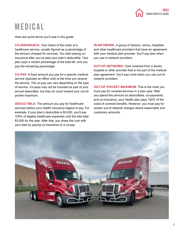

## <span id="page-6-0"></span>Medical

Here are some terms you'll see in this guide:

**CO-INSURANCE:** Your share of the costs of a healthcare service, usually figured as a percentage of the amount charged for services. You start paying coinsurance after you've paid your plan's deductible. Your plan pays a certain percentage of the total bill, and you pay the remaining percentage.

**CO-PAY:** A fixed amount you pay for a specific medical service (typically an office visit) at the time you receive the service. The co-pay can vary depending on the type of service. Co-pays may not be included as part of your annual deductible, but they do count toward your out-ofpocket maximum.

**DEDUCTIBLE:** The amount you pay for healthcare services before your health insurance begins to pay. For example, if your plan's deductible is \$3,000, you'll pay 100% of eligible healthcare expenses until the bills total \$3,000 for the year. After that, you share the cost with your plan by paying co-insurance or a co-pay.

**IN-NETWORK:** A group of doctors, clinics, hospitals and other healthcare providers that have an agreement with your medical plan provider. You'll pay less when you use in-network providers.

**OUT-OF-NETWORK:** Care received from a doctor, hospital or other provider that is not part of the medical plan agreement. You'll pay more when you use out-ofnetwork providers.

**OUT-OF-POCKET MAXIMUM:** This is the most you must pay for covered services in a plan year. After you spend this amount on deductibles, co-payments and co-insurance, your health plan pays 100% of the costs of covered benefits. However, you must pay for certain out-of-network charges above reasonable and customary amounts.

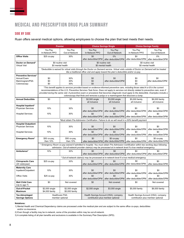#### Medical and prescription drug plan summary

#### SIDE BY SIDE

#### Ruan offers several medical options, allowing employees to choose the plan that best meets their needs.

|                                                         |                                  | <b>Premier</b>                     |                                                                                             | <b>Choice Savings Single</b>                                               | <b>Choice Savings Family</b>                                                                                                                                                                                                                                                                                                                                                                                             |                                                                            |  |
|---------------------------------------------------------|----------------------------------|------------------------------------|---------------------------------------------------------------------------------------------|----------------------------------------------------------------------------|--------------------------------------------------------------------------------------------------------------------------------------------------------------------------------------------------------------------------------------------------------------------------------------------------------------------------------------------------------------------------------------------------------------------------|----------------------------------------------------------------------------|--|
|                                                         | You Pay<br>In-Network PPO        | You Pay<br>Out-of-Network          | You Pay<br>In-Network PPO                                                                   | You Pay<br>Out-of-Network                                                  | You Pay<br>In-Network PPO                                                                                                                                                                                                                                                                                                                                                                                                | You Pay<br>Out-of-Network                                                  |  |
| <b>Office Visits</b>                                    | $$25$ co-pay                     | 30%                                | \$0<br>after deductible/OPM                                                                 | 0%<br>after deductible/OPM                                                 | \$0<br>after deductible/OPM                                                                                                                                                                                                                                                                                                                                                                                              | 0%<br>after deductible/OPM                                                 |  |
| Doctor on Demand*<br><b>Virtual Visit</b>               | \$0 mental health                | \$0 routine visit                  |                                                                                             | \$0 routine visit<br>\$0 mental health                                     |                                                                                                                                                                                                                                                                                                                                                                                                                          | \$0 routine visit<br>\$0 mental health                                     |  |
|                                                         |                                  |                                    | like a traditional office visit and apply toward the plan's deductible and/or co-pay.       |                                                                            | *Deductible is waived for virtual visits through the Doctor on Demand service. Virtual visits outside of Doctor on Demand will be treated                                                                                                                                                                                                                                                                                |                                                                            |  |
| <b>Preventive Services*</b>                             |                                  |                                    |                                                                                             |                                                                            |                                                                                                                                                                                                                                                                                                                                                                                                                          |                                                                            |  |
| <b>Annual Exam</b>                                      | \$0                              | 30%                                | \$0                                                                                         | \$0                                                                        | \$0                                                                                                                                                                                                                                                                                                                                                                                                                      | \$0                                                                        |  |
| Mammogram/PSA                                           | \$0                              | 30%                                | \$0                                                                                         | after deductible/OPM                                                       | \$0                                                                                                                                                                                                                                                                                                                                                                                                                      | after deductible/OPM                                                       |  |
| Colonoscopy                                             | \$0                              | 30%                                | \$0                                                                                         |                                                                            | \$0                                                                                                                                                                                                                                                                                                                                                                                                                      |                                                                            |  |
|                                                         |                                  |                                    | colonoscopy that finds and removes a polyp or a mammogram that discovers a lump.            |                                                                            | *This benefit applies to services provided based on evidence-informed preventive care, including those rated A or B in the current<br>recommendations of the U.S. Preventive Services Task force. Does not apply to services not directly related to preventive care, even if<br>provided during the same visit. A preventive exam or procedure that becomes diagnostic must apply to the deductible. Examples include a |                                                                            |  |
| <b>Annual Deductible</b>                                | \$0                              | \$0                                | $$2,500$ single<br>all inclusive                                                            | \$3,000 single<br>all inclusive                                            | \$5,000 family<br>all inclusive                                                                                                                                                                                                                                                                                                                                                                                          | \$6,000 family<br>all inclusive                                            |  |
| <b>Hospital Inpatient*</b><br><b>Physician Services</b> | 10%                              | 30%                                | \$0                                                                                         | \$0                                                                        | \$0                                                                                                                                                                                                                                                                                                                                                                                                                      | \$0                                                                        |  |
| <b>Hospital Services</b>                                | 10%                              | 30%                                | after deductible/OPM<br>\$0<br>after deductible/OPM                                         | after deductible/OPM<br>\$0<br>after deductible/OPM                        | after deductible/OPM<br>\$0<br>after deductible/OPM                                                                                                                                                                                                                                                                                                                                                                      | after deductible/OPM<br>\$0<br>after deductible/OPM                        |  |
|                                                         |                                  |                                    |                                                                                             |                                                                            | *Must obtain Pre-Admission Certification. Failure to do so will result in a 50% benefit payment.                                                                                                                                                                                                                                                                                                                         |                                                                            |  |
| <b>Hospital Outpatient</b>                              |                                  |                                    |                                                                                             |                                                                            |                                                                                                                                                                                                                                                                                                                                                                                                                          |                                                                            |  |
| <b>Physician Services</b>                               | 10%                              | 30%                                | \$0                                                                                         | \$0                                                                        | \$0                                                                                                                                                                                                                                                                                                                                                                                                                      | \$0                                                                        |  |
|                                                         |                                  |                                    | after deductible/OPM                                                                        | after deductible/OPM                                                       | after deductible/OPM                                                                                                                                                                                                                                                                                                                                                                                                     | after deductible/OPM                                                       |  |
| <b>Hospital Services</b>                                | 10%                              | 30%                                | \$0                                                                                         | \$0                                                                        | \$0                                                                                                                                                                                                                                                                                                                                                                                                                      | \$0                                                                        |  |
|                                                         |                                  |                                    | after deductible/OPM                                                                        | after deductible/OPM                                                       | after deductible/OPM                                                                                                                                                                                                                                                                                                                                                                                                     | after deductible/OPM                                                       |  |
| <b>Emergency Room*</b>                                  | \$50 co-pay,<br>then 10%         | \$50 co-pay,<br>then 10%           | \$0                                                                                         | \$0 co-pay<br>after deductible/OPM   after deductible/OPM                  | \$0<br>after deductible/OPM                                                                                                                                                                                                                                                                                                                                                                                              | \$0 co-pay<br>after deductible/OPM                                         |  |
|                                                         |                                  |                                    |                                                                                             |                                                                            | * Emergency Room co-pay waived if admitted to hospital. You must obtain Pre-Admission Certification within two working days following<br>admission. Out-of-network provider claim(s) may be processed at in-network level if a true medical emergency.                                                                                                                                                                   |                                                                            |  |
| Ambulance*                                              | 10%                              | 30%                                | \$0<br>after deductible/OPM                                                                 | \$0<br>after deductible/OPM                                                | \$0                                                                                                                                                                                                                                                                                                                                                                                                                      | \$0<br>after deductible/OPM after deductible/OPM                           |  |
|                                                         |                                  |                                    | * Out-of-network claim(s) may be processed at in-network level if a true medical emergency. |                                                                            |                                                                                                                                                                                                                                                                                                                                                                                                                          |                                                                            |  |
| <b>Chiropractic Care</b><br>(20 visits/year)            | $$25$ co-pay                     | 30%                                | \$0<br>after deductible/OPM                                                                 | \$0<br>after deductible/OPM                                                | \$0<br>after deductible/OPM                                                                                                                                                                                                                                                                                                                                                                                              | \$0<br>after deductible/OPM                                                |  |
| <b>Maternity Care</b><br>Inpatient/Outpatient           | 10%                              | 30%                                | \$0                                                                                         | \$0                                                                        | \$0                                                                                                                                                                                                                                                                                                                                                                                                                      | \$0                                                                        |  |
|                                                         |                                  |                                    | after deductible/OPM                                                                        | after deductible/OPM                                                       | after deductible/OPM                                                                                                                                                                                                                                                                                                                                                                                                     | after deductible/OPM                                                       |  |
| <b>Office Visits</b>                                    | \$25 co-pay                      | 30%                                | \$0<br>after deductible/OPM                                                                 | \$0<br>after deductible/OPM                                                | \$0<br>after deductible/OPM                                                                                                                                                                                                                                                                                                                                                                                              | \$0<br>after deductible/OPM                                                |  |
| <b>Well Child Care</b><br>(Up to age $7$ )              | \$0                              | Not covered                        | \$0                                                                                         | Not covered                                                                | \$0                                                                                                                                                                                                                                                                                                                                                                                                                      | Not covered                                                                |  |
| Out-of-Pocket<br><b>Maximum</b>                         | \$2,000 single<br>\$4,000 family | \$2,500 single<br>\$5,000 family   | \$2,500 single                                                                              | \$3,000 single                                                             | \$5,000 family                                                                                                                                                                                                                                                                                                                                                                                                           | \$6,000 family                                                             |  |
| Tax-Advantaged<br><b>Savings Options</b>                |                                  | Healthcare FSA:<br>member optional |                                                                                             | Health Savings Account (HSA): company<br>contribution plus member optional |                                                                                                                                                                                                                                                                                                                                                                                                                          | Health Savings Account (HSA): company<br>contribution plus member optional |  |
|                                                         |                                  |                                    |                                                                                             |                                                                            |                                                                                                                                                                                                                                                                                                                                                                                                                          |                                                                            |  |

#### **Notations:**

1) Mental Health and Chemical Dependency claims are processed under the medical plan and are subject to the same office co-pays, deductibles and/or co-insurance.

2) Even though a facility may be in-network, some of the providers within may be out-of-network.

3) A complete listing of all plan benefits and exclusions is available in the Summary Plan Description (SPD).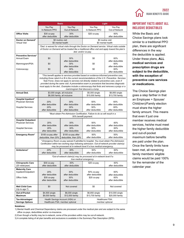|  |                            | 2022 |
|--|----------------------------|------|
|  | <b>RUAN BENEFITS GUIDE</b> |      |

|                                                                                     | You Pay<br>In-Network PPO                                  | You Pay<br>Out-of-Network                                                                                                                                                                                                                                                                                                                                                                                                                                                                                    | You Pay<br>In-Network PPO                          | You Pay<br>Out-of-Network                          |  |  |  |
|-------------------------------------------------------------------------------------|------------------------------------------------------------|--------------------------------------------------------------------------------------------------------------------------------------------------------------------------------------------------------------------------------------------------------------------------------------------------------------------------------------------------------------------------------------------------------------------------------------------------------------------------------------------------------------|----------------------------------------------------|----------------------------------------------------|--|--|--|
| <b>Office Visits</b>                                                                | \$30 co-pay<br>after deductible                            | 30%<br>after deductible                                                                                                                                                                                                                                                                                                                                                                                                                                                                                      | \$20 co-pay                                        | 60%<br>after deductible                            |  |  |  |
| Doctor on Demand*<br><b>Virtual Visit</b>                                           | \$0 mental health                                          | \$0 routine visit                                                                                                                                                                                                                                                                                                                                                                                                                                                                                            | \$0 routine visit<br>\$0 mental health             |                                                    |  |  |  |
|                                                                                     |                                                            | *Ded. is waived for virtual visits through the Doctor on Demand service. Virtual visits outside<br>of Doctor on Demand will be treated like a traditional office visit and apply toward the plan's<br>ded. and/or co-pay.                                                                                                                                                                                                                                                                                    |                                                    |                                                    |  |  |  |
| <b>Preventive Services*</b>                                                         |                                                            |                                                                                                                                                                                                                                                                                                                                                                                                                                                                                                              |                                                    |                                                    |  |  |  |
| Annual Exam                                                                         | \$0                                                        | 30%<br>after deductible                                                                                                                                                                                                                                                                                                                                                                                                                                                                                      | \$0                                                | 60%<br>after deductible                            |  |  |  |
| Mammogram/PSA                                                                       | \$0                                                        | 30%                                                                                                                                                                                                                                                                                                                                                                                                                                                                                                          | \$0                                                | 60%                                                |  |  |  |
| Colonoscopy                                                                         | \$0                                                        | after deductible<br>30%<br>after deductible                                                                                                                                                                                                                                                                                                                                                                                                                                                                  | \$0                                                | after deductible<br>60%<br>after deductible        |  |  |  |
|                                                                                     |                                                            | *This benefit applies to services provided based on evidence-informed preventive care,<br>including those rated A or B in the current recommendations of the U.S. Preventive Services<br>Task Force. Does not apply to services not directly related to preventive care, even if<br>provided during the same visit. A preventative exam or procedure that becomes diagnostic<br>must apply to the ded Examples include a colonoscopy that finds and removes a polyp or a<br>mammogram that discovers a lump. |                                                    |                                                    |  |  |  |
| Annual Ded.                                                                         |                                                            | \$3,000 single, all inclusive<br>\$6,000 family, all inclusive                                                                                                                                                                                                                                                                                                                                                                                                                                               | \$5,000 single<br>\$10,000 family                  | \$6,850 single<br>\$13,700 family                  |  |  |  |
| <b>Hospital Inpatient*</b>                                                          |                                                            |                                                                                                                                                                                                                                                                                                                                                                                                                                                                                                              |                                                    |                                                    |  |  |  |
| <b>Physician Services</b>                                                           | 20%<br>after deductible                                    | 30%<br>after deductible                                                                                                                                                                                                                                                                                                                                                                                                                                                                                      | 50%<br>after deductible                            | 60%<br>after deductible                            |  |  |  |
| Hospital Services                                                                   | 20%<br>after deductible                                    | 30%<br>after deductible                                                                                                                                                                                                                                                                                                                                                                                                                                                                                      | 50%<br>after deductible                            | 60%<br>after deductible                            |  |  |  |
|                                                                                     |                                                            | *Must obtain Pre-Admission Certification. Failure to do so will result in a                                                                                                                                                                                                                                                                                                                                                                                                                                  |                                                    |                                                    |  |  |  |
|                                                                                     |                                                            | 50% benefit payment.                                                                                                                                                                                                                                                                                                                                                                                                                                                                                         |                                                    |                                                    |  |  |  |
| <b>Hospital Outpatient</b><br><b>Physician Services</b><br><b>Hospital Services</b> | 20%<br>after deductible<br>20%<br>after deductible         | 30%<br>after deductible<br>30%<br>after deductible                                                                                                                                                                                                                                                                                                                                                                                                                                                           | 50%<br>after deductible<br>50%<br>after deductible | 60%<br>after deductible<br>60%<br>after deductible |  |  |  |
| Emergency Room*                                                                     | \$100 co-pay after                                         | \$100 co-pay after                                                                                                                                                                                                                                                                                                                                                                                                                                                                                           | 50%                                                | 50%                                                |  |  |  |
|                                                                                     | deductible, then 20%                                       | deductible, then 20%                                                                                                                                                                                                                                                                                                                                                                                                                                                                                         | after deductible                                   | after deductible                                   |  |  |  |
|                                                                                     |                                                            | * Emergency Room co-pay waived if admitted to hospital. You must obtain Pre-Admission<br>Certification within two working days following admission. Out-of-network provider claim(s)<br>may be processed at in-network level if a true medical emergency.                                                                                                                                                                                                                                                    |                                                    |                                                    |  |  |  |
| Ambulance*                                                                          | 20%<br>after deductible                                    | 30%<br>after deductible                                                                                                                                                                                                                                                                                                                                                                                                                                                                                      | 50%<br>after deductible                            | 60%<br>after deductible                            |  |  |  |
|                                                                                     |                                                            | *Out-of-network claim(s) may be processed at in-network level if a<br>true medical emergency.                                                                                                                                                                                                                                                                                                                                                                                                                |                                                    |                                                    |  |  |  |
| <b>Chiropractic Care</b><br>(20 visits/year)                                        | \$30 co-pay<br>after deductible                            | 30%<br>after deductible                                                                                                                                                                                                                                                                                                                                                                                                                                                                                      | \$20 co-pay                                        | 60%<br>after deductible                            |  |  |  |
| <b>Maternity Care</b><br>Inpatient/Outpatient<br>Office Visits                      | 20%<br>after deductible<br>\$30 co-pay<br>after deductible | 30%<br>after deductible<br>30%<br>after deductible                                                                                                                                                                                                                                                                                                                                                                                                                                                           | 50% со-рау<br>after deductible<br>$$20$ co-pay     | 60%<br>after deductible<br>60%<br>after deductible |  |  |  |
| <b>Well Child Care</b><br>(Up to age $7$ )                                          | \$0                                                        | Not covered                                                                                                                                                                                                                                                                                                                                                                                                                                                                                                  | \$0                                                | Not covered                                        |  |  |  |
| Out-of-Pocket<br>Maximum                                                            | \$4,500 single<br>\$9,000 family                           | \$6,000 single<br>\$12,000 family                                                                                                                                                                                                                                                                                                                                                                                                                                                                            | \$6,850 single<br>\$13,700 family                  | \$10,000 single<br>\$20,000 family                 |  |  |  |
| Tax-Advantaged<br><b>Savings Options</b>                                            |                                                            | Health Savings Account (HSA) or<br>Healthcare FSA: member optional                                                                                                                                                                                                                                                                                                                                                                                                                                           | Healthcare FSA:                                    | member optional                                    |  |  |  |
|                                                                                     |                                                            |                                                                                                                                                                                                                                                                                                                                                                                                                                                                                                              |                                                    |                                                    |  |  |  |

**Basic Light**

#### Important Facts About All Inclusive Deductibles

While the Basic and Choice Savings plans look similar to a traditional PPO plan, there are significant differences in the way the deductible is applied. Under these plans, **ALL medical services and prescription drugs are subject to the deductible, with the exception of preventive care services or medications.** 

The Choice Savings plan goes a step farther in that an Employee + Spouse/ Child(ren)/Family election must share the higher family amount. This means that even if just one member receives medical services, he/she must meet the higher family deductible and out-of-pocket maximum before benefits are paid under the plan. Once the family limits have been met, all remaining family members' eligible claims would be paid 100% for the remainder of the calendar year.

#### **Notations:**

1) Mental Health and Chemical Dependency claims are processed under the medical plan and are subject to the same office co-pays, deductibles and/or co-insurance.

2) Even though a facility may be in-network, some of the providers within may be out-of-network.

3) A complete listing of all plan benefits and exclusions is available in the Summary Plan Description (SPD).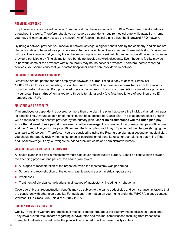#### Provider Networks

Employees who are covered under a Ruan medical plan have a special link to Blue Cross Blue Shield's network throughout the world. Therefore, should you or covered dependents require medical care while away from home, you may still conveniently access the network. All of Ruan's medical plans utilize the **BlueCard PPO** network.

By using a network provider, you receive in-network savings, a higher benefit paid by the company, and claims are filed automatically. Non-network providers may charge above Usual, Customary and Reasonable (UCR) prices and will most likely require that you pay the entire amount up front and seek reimbursement yourself. In some instances, providers participate by filing claims for you but do not provide network discounts. Even though a facility may be in-network, some of the providers within the facility may not be network providers. Therefore, before receiving services, you should verify that your doctor, hospital or health care provider is in-network.

#### Locating Your Network Providers

Directories are not printed for each employee; however, a current listing is easy to access. Simply call **1-800-810-BLUE** for a verbal listing or visit the Blue Cross Blue Shield website at **www.bcbs.com** to view and/ or print a custom directory. Both provide 24 hours a day access to the most current listing of in-network providers in your area. **Search tip:** When asked for a three-letter alpha prefix (the first three letters of your insurance ID number), use "RUA."

#### Maintenance of Benefits

If an employee or dependent is covered by more than one plan, the plan that covers the individual as primary pays its benefits first. Any unpaid portion of the claim can be submitted to Ruan's plan. The total amount paid by Ruan will be reduced by the benefits provided by the primary plan. **Under no circumstance will the Ruan plan pay more than it would have paid if there was no other coverage.** For example, if the primary plan pays 80 percent and the Ruan option you chose pays 90 percent, the Ruan plan would pay 10 percent of the charges (bringing the total paid to 90 percent). Therefore, if you are considering using the Ruan group plan as a secondary medical plan, you should thoroughly review the maintenance or coordination of benefits rules for both plans to determine if the additional coverage, if any, outweighs the added premium costs and administrative burden.

#### Women's Health and Cancer Rights Act

All health plans that cover a mastectomy must also cover reconstructive surgery. Based on consultation between the attending physician and patient, the health plan covers:

- All stages of reconstruction of the breast on which the mastectomy was performed
- **Surgery and reconstruction of the other breast to produce a symmetrical appearance**
- **Prostheses**
- **Treatment of physical complications in all stages of mastectomy, including lymphedema**

Coverage of breast reconstruction benefits may be subject to the same deductibles and co-insurance limitations that are consistent with other plan benefits. For additional information on your rights under the WHCRA, please contact Wellmark Blue Cross Blue Shield at **1-800-211-6773**.

#### Quality Transplant Centers

Quality Transplant Centers are prestigious medical centers throughout the country that specialize in transplants. They have proven track records regarding survival rates and minimal complications resulting from transplants. Transplant patients covered under the plan will be required to utilize these quality centers.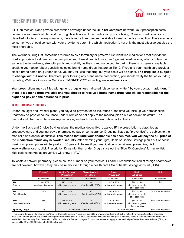

#### Prescription Drug Coverage

All Ruan medical plans provide prescription coverage under the **Blue Rx Complete** network. Your prescription costs depend on your medical plan and the drug classification of the medication you are taking. Covered medications are classified into tiers. In many situations, there is more than one drug available to treat a medical condition. Therefore, as a consumer, you should consult with your provider to determine which medication is not only the most effective but also the most affordable.

The Wellmark Drug List, sometimes referred to as a formulary or preferred list, identifies medications that provide the most appropriate treatment for the best price. Your lowest cost is to use Tier 1 generic medications, which contain the same active ingredients, strength, purity and stability as their brand name counterpart. If there is no generic available, speak to your doctor about specially selected brand name drugs that are on Tier 2. If you and your health care provider elect a brand name drug under Tier 3, you may still use that drug, but your costs will be higher. **The drug list is subject to change without notice.** Therefore, prior to filling any brand name prescription, you should verify the tier of your drug by calling Wellmark Customer Service at **1-800-211-6773** or visiting **www.wellmark.com**.

Your prescriptions may be filled with generic drugs unless indicated "dispense as written" by your doctor. **In addition, if there is a generic drug available and you choose to receive a brand name drug, you will be responsible for the higher co-pay and the difference in price.** 

#### Retail Pharmacy Program

Under the Light and Premier plans, you pay a co-payment or co-insurance at the time you pick up your prescription. Pharmacy co-pays or co-insurance under Premier do not apply to the medical plan's out-of-pocket maximum. The medical and pharmacy plans are kept separate, and each has its own out-of-pocket limits.

Under the Basic and Choice Savings plans, the medical deductible is waived IF the prescription is classified as preventive care and you just pay a pharmacy co-pay or co-insurance. Drugs not listed as "preventive" are subject to the medical plan's annual deductible. **This means that until your deductible has been met, you will pay the full price of the medication minus any network discounts.** After meeting your Light, Basic or Choice Savings plan's out-of-pocket maximum, prescriptions will be paid at 100 percent. To see if your medication is considered preventive, visit **www.wellmark.com,** click Prescription Drug Info, then under Drug List select the "Blue Rx Complete" formulary list. Medications marked as preventive will show a "PV."

To locate a network pharmacy, please call the number on your medical ID card. Prescriptions filled at foreign pharmacies are not covered; however, they may be reimbursed through a health care FSA or health savings account (HSA).

|                             | Premier <sup>3</sup>                | <b>Choice Savings</b><br>Preventive <sup>1</sup> | <b>Choice Savings</b><br><b>All Others</b> | <b>Basic</b><br>Preventive <sup>1</sup> | <b>Basic</b><br><b>All Others</b>                       |                         |
|-----------------------------|-------------------------------------|--------------------------------------------------|--------------------------------------------|-----------------------------------------|---------------------------------------------------------|-------------------------|
|                             | In-Network <sup>2</sup>             | In-Network <sup>2</sup>                          | In-Network <sup>2</sup>                    | In-Network <sup>2</sup>                 | In-Network <sup>2</sup>                                 | In-Network <sup>2</sup> |
| Tier 1<br>Generic           | \$10 or 25%<br>whichever is greater | \$15 or 25%<br>whichever is greater              | \$0<br>after deductible/OPM                | \$20 or 25%<br>whichever is greater     | \$20 or 25%<br>whichever is greater<br>after deductible | \$15                    |
| Tier 2<br>Select brands     | 25%                                 | \$30 or 25%<br>whichever is greater              | \$0<br>after deductible/OPM                | \$35 or 25%<br>whichever is greater     | \$35 or 25%<br>whichever is greater<br>after deductible | 50% after deductible    |
| Tier 3<br>Non-select brands | 25%                                 | \$45 or 25%<br>whichever is greater              | \$0<br>after deductible/OPM                | \$50 or 25%<br>whichever is greater     | \$50 or 25%<br>whichever is greater<br>after deductible | 50% after deductible    |
| <b>Specialty Drugs</b>      | 10%                                 |                                                  | \$0 after deductible/OPM                   |                                         | 20% after deductible                                    |                         |

1) Preventive drugs are identified on the "Blue Rx Complete formulary" Drug List available at www.wellmark.com. 2) Out-of-network (or non-participating) pharmacy rates equal your co-pay or 50% (whichever is greater) and is subject to Usual, Customary and Reasonable charges. A complete listing of plan benefits and exclusions is available in the Summary Plan Description (SPD). 3) Under the Premier plan your Rx cost share does not apply to the medical plan's out-of-pocket maximum (OPM). A separate Rx OPM of \$2,000 single/\$4,000 family applies.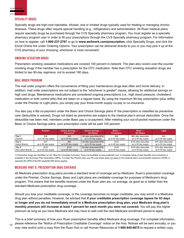#### Specialty Drugs

Specialty drugs are high-cost injectable, infused, oral or inhaled drugs typically used for treating or managing chronic illnesses. These drugs often require special handling (e.g., refrigeration) and administration. All Ruan medical plans require specialty drugs be purchased through the CVS Specialty pharmacy program. You must register as a specialty pharmacy program user in order to fill your prescriptions through the CVS Specialty pharmacy program. For information on how to register, call **1-800-237-2767** or go to **www.wellmark.com/prescription,** click Specialty Drugs, and click the Enroll Online link under Ordering Options. Your prescription can be delivered directly to you or you may pick it up at the CVS pharmacy of your choosing, whichever is most convenient.

#### Smoking Cessation Drugs

Prescription smoking cessation medications are covered 100 percent in-network. The plan also covers over-the-counter smoking drugs if the member has a prescription for the OTC medication. Note than OTC smoking cessation drugs are limited to two 90-day regimens, not to exceed 180 days.

#### Mail Order Program

The mail order program offers the convenience of filling your maintenance drugs less often and home delivery. In addition, mail order prescriptions are not subject to the "whichever is greater" clause, allowing for additional savings on high cost drugs. Maintenance medications are considered ongoing prescriptions (i.e., high blood pressure, cholesterol medication or birth control pills) that are taken on a regular basis. By using the maximum 90-day prescription (plus refills) under the Premier or Light plans, you simply pay your three-month supply co-pay or co-insurance.

You also pay a flat co-payment under the Basic and Choice Savings plans IF the prescription is classified as preventive care (deductible is waived). Drugs not listed as preventive are subject to the medical plan's annual deductible. Once the deductible has been met, members under Basic pay a co-payment. After meeting your out-of-pocket maximum under the Basic or Choice Savings plans, your prescription costs will be paid 100 percent.

|                      | Premier <sup>3</sup> | <b>Choice Savings —</b><br>Preventive <sup>1</sup> | <b>Choice Savings —</b><br><b>All Others</b> | $Basic -$<br>Preventive <sup>1</sup> | $Basic -$<br><b>All Others</b> | Light                |
|----------------------|----------------------|----------------------------------------------------|----------------------------------------------|--------------------------------------|--------------------------------|----------------------|
| Tier 1               | \$30                 | \$45                                               | \$0 after deductible/OPM                     | \$60                                 | \$60 after deductible          | \$45                 |
| Generic              | up to 90 day supply  | up to 90 day supply                                | up to 90 day supply                          | up to 90 day supply                  | up to 90 day supply            | up to 90 day supply  |
| Tier 2               | \$75                 | \$90                                               | \$0 after deductible/OPM                     | \$105                                | \$105 after deductible         | 50% after deductible |
| <b>Select Brands</b> | up to 90 day supply  | up to 90 day supply                                | up to 90 day supply                          | up to 90 day supply                  | up to 90 day supply            | up to 90 day supply  |
| Tier 3               | \$120                | \$135                                              | \$0 after deductible/OPM                     | \$150                                | \$150 after deductible         | 50% after deductible |
| Non-select Brands    | up to 90 day supply  | up to 90 day supply                                | up to 90 day supply                          | up to 90 day supply                  | up to 90 day supply            | up to 90 day supply  |

1) Preventive drugs are identified on the "Blue Rx Complete formulary" Drug List available at www.wellmark.com. A complete listing of plan benefits and exclusions is available in the Summary Plan Description (SPD). 2) Under the Premier plan your Rx cost share does not apply to the medical plan's out-of-pocket maximum (OPM). A separate Rx OPM of \$2,000 single/\$4,000 family applies.

#### Medicare Part D: Prescription Drug Coverage

All Medicare prescription drug plans provide a standard level of coverage set by Medicare. Ruan's prescription coverage under the Premier, Choice Savings, Basic and Light plans are creditable coverage for purposes of Medicare's drug program. This means that the benefits received under the Ruan plan are, on average, as good as or better than the standard Medicare prescription drug coverage.

Should you lose your creditable coverage, or the coverage becomes no longer creditable, you may enroll in a Medicare drug plan without penalties. However, be advised that **if your creditable prescription coverage lapses for 63 days or longer and you do not immediately enroll in a Medicare prescription drug plan, your Medicare drug plan's monthly premium will increase at least 1 percent for each month you were not covered.** You will pay this higher premium as long as you have Medicare and may have to wait until the next Medicare enrollment period to apply.

This is a brief summary of how your Ruan prescription benefits affect Medicare drug coverage. For complete information, please reference the "Notice of Prescription Creditable Coverage" notice on the Hub. Notices will be sent annually, or you may view and/or print a copy from the Ruan Hub or call Human Resources at **1-800-845-6675** to request a written copy. 12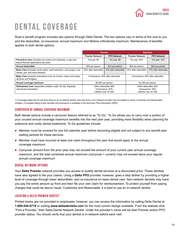## <span id="page-12-0"></span>Dental Coverage

Ruan's benefit program includes two options through Delta Dental. The two options vary in terms of the cost to you and the deductible, co-insurance, annual maximum and lifetime orthodontia maximum. Maintenance of benefits applies to both dental options.

|                                                                                                                  |                                                                     | <b>Premier</b>       |                                                                     | <b>Standard</b>      |
|------------------------------------------------------------------------------------------------------------------|---------------------------------------------------------------------|----------------------|---------------------------------------------------------------------|----------------------|
|                                                                                                                  | <b>Premier Network</b>                                              | <b>PPO Network</b>   | <b>Premier Network</b>                                              | <b>PPO Network</b>   |
| <b>Preventive Care</b> (includes two exams and cleanings, x-rays and<br>topical fluoride applications per year)  | You pay: \$0                                                        | You pay: \$0         | You pay: 20%                                                        | You pay: 10%         |
| <b>Annual Deductible</b>                                                                                         | \$25 per person                                                     | \$15 per person      | \$50 per person                                                     | \$25 per person      |
| <b>Basic Care</b> (includes cavity repair, tooth extraction, oral surgery, root<br>canals, gum and bone disease) | 20% after deductible                                                | 10% after deductible | 20% after deductible                                                | 10% after deductible |
| Major Care (includes restorations such as crowns, inlays and onlays,<br>dentures and bridges)                    | Coinsurance: 50% after deducible                                    |                      | Coinsurance: 50% after deducible                                    |                      |
| Annual coverage maximum                                                                                          | \$2,000 per person                                                  |                      | \$1,000 per person                                                  |                      |
| Orthodontia Care (dependent children under 19 only. Separate<br>orthodontia deductible.)                         | Ortho deductible: \$50<br>Coinsurance: 50%<br>Lifetime max: \$1,500 |                      | Ortho deductible: \$50<br>Coinsurance: 50%<br>Lifetime max: \$1.000 |                      |

1) Coverages listed are for services done by an in-network dentist. Services from a non-network provider may be subject to Usual, Customary and Reasonable charges. A complete listing of plan benefits and exclusions is available in the Summary Plan Description (SPD).

#### Carryover of Annual Coverage Maximum

Both dental options include a carryover feature referred to as "To Go." To Go allows you to carry over a portion of your unused annual coverage maximum benefits into the next plan year, providing more flexibility when planning for extensive and costly dental treatments. To Go guidelines include:

- **Member must be covered for one full calendar year before becoming eligible and not subject to any benefit plan** waiting periods for these services
- **Member must have incurred at least one claim throughout the year that would apply to the annual** coverage maximum
- **Carryover amount from the prior year may not exceed the amount of your current year annual coverage** maximum, and the total combined annual maximum (carryover + current) may not exceed twice your regular annual coverage maximum

#### Dental Network Options

Your **Delta Premier** network provides you access to quality dental services at a discounted price. These dentists have also agreed to file your claims. Using a **Delta PPO** provider, however, goes a step farther by providing a higher level of coverage through lower deductibles and co-insurance on basic dental care. Non-network dentists may have you pay the entire amount up front and then file your own claim for reimbursement. To protect yourself from paying charges that could be above Usual, Customary and Reasonable, it is best to use an in-network dentist.

#### Locating a Delta Premier Dentist

Printed books are not provided to employees; however, you can access the information by calling Delta Dental at **1-800-544-0718** or visiting **www.deltadentalia.com** for the most current listings available. From the website click "Find a Provider," then Delta Dental Network Dentist. Under the provider's name will list their Premier and/or PPO provider status. You should verify that your dentist is in-network before each visit.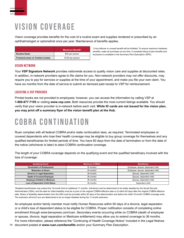## <span id="page-13-0"></span>Vision Coverage

Vision coverage provides benefits for the cost of a routine exam and supplies rendered or prescribed by an ophthalmologist or optometrist once per year. Maintenance of benefits applies.

|                                 | Maximum Benefit <sup>1</sup> |
|---------------------------------|------------------------------|
| Routine Exam                    | \$40 per person              |
| Frames/Lenses or Contact Lenses | \$125 per person             |

1) Any leftover or unused benefit will be forfeited. To ensure maximum hardware benefits, make all purchases at one time. A complete listing of plan benefits and exclusions is available in the Summary Plan Description (SPD).

#### Vision Network

Your **VSP Signature Network** provides nationwide access to quality vision care and supplies at discounted rates. In addition, in-network providers agree to file claims for you. Non-network providers may not offer discounts, may require you to pay for services or supplies at the time of your appointment, and make you file your own claim. You have six months from the date of service to submit an itemized paid receipt to VSP for reimbursement.

#### Locating a VSP Provider

Printed books are not provided to employees; however, you can access the information by calling VSP at **1-800-877-7195** or visiting **www.vsp.com.** Both resources provide the most current listings available. You should verify that your vision provider is in-network before each visit. **While ID cards are not issued for the vision plan, you may print off a summary flyer of the vision benefit plan at the Hub.** 

## COBRA Continuation

Ruan complies with all federal COBRA and/or state continuation laws, as required. Terminated employees or covered dependents who lose their health coverage may be eligible to buy group coverage for themselves and any qualified beneficiaries for limited periods of time. You have 60 days from the date of termination or from the date of the notice (whichever is later) to elect COBRA continuation coverage.

The length of your COBRA coverage depends on the qualifying event and the qualified beneficiary involved with the loss of coverage:

| <b>Qualifying Event</b>               | <b>Maximum COBRA</b>   | <b>Beneficiary</b>                |
|---------------------------------------|------------------------|-----------------------------------|
| <b>Termination of Employment</b>      | 18 months <sup>1</sup> | Employee, spouse, dependent child |
| <b>Reduction of Hours</b>             | 18 months <sup>1</sup> | Employee, spouse, dependent child |
| Divorce or Legal Separation           | 36 months              | Spouse, dependent child           |
| <b>Death of Covered Employee</b>      | 36 months              | Spouse, dependent child           |
| <b>Employee Entitled to Medicare</b>  | 36 months              | Spouse, dependent child           |
| <b>Loss of Dependent Child Status</b> | 36 months              | Dependent child                   |

<sup>1</sup>Disabled beneficiaries may extend the 18-month limit an additional 11 months. Individual must be determined to be totally disabled by the Social Security Administration (SSA), and the date for initial disability must be a) prior to the original COBRA effective date or b) within 60 days after the original COBRA effective date. Notice of disability determination from the SSA must be provided within 60 days of the determination and before the initial 18-month COBRA coverage ends. The extension will end if you are determined to be no longer disabled during the 11-month extension.

An employee and/or family member must notify Human Resources within 60 days of a divorce, legal separation or a child's loss of dependent status to be eligible for COBRA. Proper notification consists of completing online enrollment through www.benxpress.com/ruan. Secondary events occurring while on COBRA (death of employee or spouse, divorce, legal separation or Medicare entitlement) may allow you to extend coverage to 36 months. For more information, please reference the "Continuing of Health Coverage Notice" included in the Legal Notices

14 document posted at **www.ruan.com/benefits** and/or your Summary Plan Description.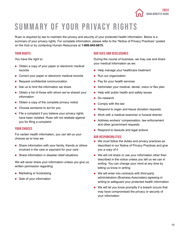

## <span id="page-14-0"></span>Summary of Your Privacy Rights

Ruan is required by law to maintain the privacy and security of your protected health information. Below is a summary of your privacy rights. For complete information, please refer to the "Notice of Privacy Practices" posted on the Hub or by contacting Human Resources at **1-800-845-6675.**

#### YOUR RIGHTS

You have the right to:

- Obtain a copy of your paper or electronic medical records
- Correct your paper or electronic medical records
- Request confidential communication
- Ask us to limit the information we share
- Obtain a list of those with whom we've shared your information
- Obtain a copy of the complete privacy notice
- Choose someone to act for you
- $\blacksquare$  File a complaint if you believe your privacy rights have been violated. Ruan will not retaliate against you for filing a complaint

#### YOUR CHOICES

For certain health information, you can tell us your choices as to how we:

- Share information with your family, friends or others involved in the care or payment for your care
- Share information in disaster relief situations

We will never share your information unless you give us written permission regarding:

- **Marketing or fundraising**
- Sale of your information

#### Our Uses and Disclosures

During the course of business, we may use and share your medical information as we:

- Help manage your healthcare treatment
- **Run our organization**
- $\blacksquare$  Pay for your health services
- Administer your medical, dental, vision or flex plan
- Help with public health and safety issues
- Do research
- Comply with the law
- Respond to organ and tissue donation requests
- Work with a medical examiner or funeral director
- Address workers' compensation, law enforcement and other government requests
- Respond to lawsuits and legal actions

#### Our Responsibilities

- $\blacksquare$  We must follow the duties and privacy practices as described in our Notice of Privacy Practices and give you a copy of it
- We will not share or use your information other than described in the notice unless you tell us we can in writing. You can change your mind at any time by letting us know in writing
- We will enter into contracts with third-party administrators (Business Associates) agreeing in writing to safeguard your protected health information
- $\blacksquare$  We will let you know promptly if a breach occurs that may have compromised the privacy or security of your information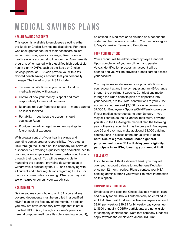## <span id="page-15-0"></span>Medical Savings Plans

#### Health Savings Accounts

This option is available to employees electing either the Basic or Choice Savings medical plans. For those who seek greater control of their healthcare dollars without sacrificing quality coverage, Ruan offers a health savings account (HSA) under the Ruan benefits program. When paired with a qualified high deductible health plan (HDHP), such as the Basic or Choice Savings plans, an HSA can provide you with a taxfavored health savings account that you personally manage. The benefits of an HSA include:

- Tax-free contributions to your account and on medically related withdrawals
- Control of how your money is spent and more responsibility for medical decisions
- Balances roll over from year to year money cannot be lost or forfeited
- $\blacksquare$  Portability you keep the account should you leave Ruan
- **Provides tax-advantaged retirement savings for** future medical expenses

With greater control of your health savings and spending comes greater responsibility. If you elect an HSA through the Ruan plan, the company will serve as a sponsor by providing a qualified high deductible health plan and allow employees to make pre-tax contributions through their payroll. You will be responsible for managing the account, providing documentation of withdrawals if audited by the IRS, and complying with all current and future regulations regarding HSAs. For the most current rules governing HSAs, you may visit **www.irs.gov** or consult your tax advisor.

#### HSA Eligibility

Before you may contribute to an HSA, you and any covered dependents must be enrolled in a qualified HDHP plan on the first day of the month. In addition, you may not have secondary coverage that is not a qualified HDHP (i.e., through a spouse's plan or a general purpose healthcare flexible spending account), be entitled to Medicare or be claimed as a dependent under another person's tax return. You must also agree to Voya's banking Terms and Conditions.

#### YOUR CONTRIBUTIONS

Your account will be administered by Voya Financial. Upon completion of your enrollment and passing Voya's identification process, an account will be opened and you will be provided a debit card to access your account.

You may increase, decrease or stop contributions to your account at any time by requesting an HSA change through the enrollment website. Contributions made through the Ruan benefits plan are deposited into your account, pre-tax. Total contributions to your 2022 account cannot exceed \$3,650 for single coverage or \$7,300 for Employee + Spouse/Child/Family coverage. If your medical coverage starts after January 1, you may still contribute the full annual maximum, provided you stay in the HSA-eligible medical plan the following year; otherwise, your limit may be prorated. Employees age 55 and over may make additional \$1,000 catchup contributions in excess of the annual limit. **Please note: Use of a grace period under a general purpose healthcare FSA will delay your eligibility to participate in an HSA, lowering your annual limit.**

#### **ROLLOVERS**

If you have an HSA at a different bank, you may roll over your account balance to another qualified plan once per 12-month period. Please contact your HSA banking administrator if you would like more information on this option.

#### Company Contributions

Employees who elect the Choice Savings medical plan and qualify for an HSA will automatically be enrolled in an HSA. Ruan will fund each active employee's account \$9.61 per week or \$19.23 for bi-weekly pay cycles, up to \$500 annually. COBRA participants are not eligible for company contributions. Note that company funds will apply towards the employee's annual IRS limit.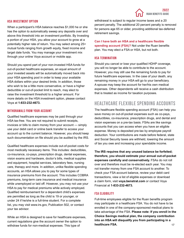#### HSA Investment Option

When a participant's HSA balance reaches \$1,000 he or she has the option to automatically sweep any deposits over and above this threshold into an investment portfolio. By Investing a portion of your HSA, you allow your account to grow at a potentially higher rate of return. You may select among 25+ mutual funds ranging from growth equity, fixed income and target date funds. You may manage your investment mix through your online Voya account or mobile app.

Should you spend part of your non-invested HSA funds for out-of-pocket healthcare expenses, an equal amount of your invested assets will be automatically moved back into your HSA spending pool in order to keep your available HSA dollars within your desired limits. In addition, those who wish to be a little more conservative, or have a higher deductible or out-of-pocket limit to reach, may elect to raise the investment threshold to a higher amount. For more details on the HSA investment option, please contact Voya at **1-833-232-4673.**

#### Withdrawals From Your Account

Qualified healthcare expenses may be paid through your HSA tax-free. You are not required to submit receipts, invoices or bills to claim money from your account — simply use your debit card or online bank transfer to access your account up to the current balance. However, you should keep such documentation on file should you be audited by the IRS.

Qualified healthcare expenses include out-of-pocket costs for most medically necessary items. This includes: deductibles, co-insurance, co-pays, prescription drugs, dental expenses, vision exams and hardware, doctor's bills, medical supplies and equipment, hospital services, laboratory fees, nursing care, therapy and more. In addition, unlike flexible spending accounts, an HSA allows you to pay for some types of insurance premiums from the account. This includes COBRA premiums, long-term care insurance and medical insurance while unemployed or laid off. However, you may not use your HSA to pay for medical premiums while actively employed. Qualified reimbursement for a dependent child's expenses are permitted as long as the child is 19 or younger, or under 24 if he/she is a full-time student. For a complete list, you may visit www.irs.gov, Publication 502, or contact your tax advisor.

While an HSA is designed to save for healthcare expenses, current regulations give the account owner the option to withdraw funds for non-medical expenses. This type of

withdrawal is subject to regular income taxes and a 20 percent penalty. The additional 20 percent penalty is removed for persons age 65 or older, providing additional tax-deferred retirement savings.

**Can I have both an HSA and a healthcare flexible spending account (FSA)?** Not under the Ruan benefits plan. You may elect a FSA or HSA, but not both.

#### HSA Termination

Should you cancel or lose your qualified HDHP coverage, you will no longer be able to contribute to the account. However, you may still use the remaining funds to pay for future healthcare expenses. In the case of your death, any remaining money in your HSA will go to your beneficiary. A spouse may keep the account for her/his own medical expenses. Other dependents will receive a cash distribution that is treated as income for taxation purposes.

#### Healthcare Flexible Spending Accounts

The healthcare flexible spending account (FSA) can help you save money on out-of-pocket expenses such as co-pays, deductibles, co-insurance, prescription drugs, and dental and vision expenses on a pre-tax basis. FSAs are like savings accounts that you can access when you have an eligible expense. Money is deposited pre-tax by employee payroll deduction. Your contributions are made before federal, state and Social Security taxes are withheld, lowering the amount of tax you owe and increasing your spendable income.

**The IRS requires that any unused balance be forfeited; therefore, you should estimate your annual out-of-pocket expenses carefully and conservatively.** FSAs do not roll over and therefore must be re-elected each year. You may not transfer money from one FSA account to another. To check your FSA account balance, review your debit card transactions, view a list of eligible expenses or download a claim form, visit **voya.benstrat.com** or contact Voya Financial at **1-833-232-4673.** 

#### FSA Eligibility

Full-time employees eligible for the Ruan benefits program may participate in a healthcare FSA. You do not have to be enrolled in one of the company-sponsored medical plans to take advantage of the FSA. **Please note: If you enroll in the Choice Savings medical plan, the company contribution into an HSA will disqualify you from participating in a healthcare FSA.** 17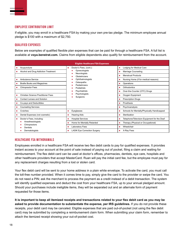#### Employee Contribution Limit

If eligible, you may enroll in a healthcare FSA by making your own pre-tax pledge. The minimum employee annual pledge is \$100 with a maximum of \$2,750.

#### Qualified Expenses

Below are examples of qualified flexible plan expenses that can be paid for through a healthcare FSA. A full list is available at **voya.benstrat.com.** Claims from eligible dependents also qualify for reimbursement from the account.

| <b>Eligible Healthcare FSA Expenses</b>                   |                                          |                                             |  |  |  |  |
|-----------------------------------------------------------|------------------------------------------|---------------------------------------------|--|--|--|--|
| Acupuncture<br>×                                          | Doctor's Fees, (cont.):<br>٠             | Lodging for Medical Care<br>п               |  |  |  |  |
| Alcohol and Drug Addiction Treatment<br><b>CONTRACTOR</b> | Gynecologists<br>Neurologists            | Marriage Counseling                         |  |  |  |  |
|                                                           | Obstetricians                            | <b>Menstrual Products</b>                   |  |  |  |  |
| Ambulance Service<br>ш                                    | Ophthalmologists                         | Nursing Home (if for medical reasons)       |  |  |  |  |
| <b>Braille Books and Magazines</b><br>a.                  | Osteopaths<br>Pediatricians              | Operations                                  |  |  |  |  |
| <b>Chiropractor Fees</b><br>ш                             | Podiatrists                              | Orthodontics                                |  |  |  |  |
|                                                           | Psychiatrists                            | Over-the-Counter (OTC) Drugs                |  |  |  |  |
| Christian Science Practitioner Fees<br>ш                  | Psychologists<br>Surgeons                | Oxygen Equipment                            |  |  |  |  |
| <b>Contact Lenses and Solution</b>                        |                                          | <b>Prescription Drugs</b>                   |  |  |  |  |
| Co-pays and Deductibles<br>m.                             |                                          | Prosthesis                                  |  |  |  |  |
| <b>Counseling Services</b><br>m.                          |                                          | Psychoanalysis                              |  |  |  |  |
| Crutches<br>ш                                             | Eyeglasses<br>ш                          | Schools for Mentally/Physically Handicapped |  |  |  |  |
| Dental Expenses (not cosmetic)<br>a.                      | <b>Hearing Aids</b><br>ш                 | Sterilization<br>ш                          |  |  |  |  |
| Doctor's Fees, including:<br>a.                           | <b>Hospital Services</b><br>ш            | Telephone/Television Equipment for the Deaf |  |  |  |  |
| Anesthesiologists<br>Chiropractors                        | Home for Mentally Retarded               | Therapy (Physical or Occupational)          |  |  |  |  |
| <b>Dentists</b>                                           | Laboratory Fees                          | Wheelchair<br>ш                             |  |  |  |  |
| Dermatologists                                            | <b>LASIK Eye Correction Surgery</b><br>ш | X-Ray Fees<br>ш                             |  |  |  |  |

#### Healthcare FSA Withdrawals

Employees enrolled in a healthcare FSA will receive two flex debit cards to pay for qualified expenses. It provides instant access to your account at the point of sale instead of paying out of pocket, filing a claim and waiting for reimbursement. The flex debit card can be used at doctor's offices, pharmacies, dentists, eye care, hospitals and other healthcare providers that accept MasterCard. Ruan will pay the initial card fee, but the employee must pay for any replacement charges resulting from a lost or stolen card.

Your flex debit card will be sent to your home address in a plain white envelope. To activate the card, you must call the toll-free number provided. When it comes time to pay, simply give the card to the provider or swipe the card. You do not need a PIN; ask the merchant to process the payment as a credit instead of a debit transaction. The system will identify qualified expenses and deduct the cost from your healthcare FSA, up to your annual pledged amount. Should your purchases include ineligible items, they will be separated out and an alternate form of payment requested for those items.

**It is important to keep all itemized receipts and transactions related to your flex debit card as you may be asked to provide documentation to substantiate the expense, per IRS guidelines.** If you do not provide these receipts, your debit card may be canceled. Eligible expenses that are paid out-of-pocket (not using the flex debit card) may be submitted by completing a reimbursement claim form. When submitting your claim form, remember to attach the itemized receipt showing your out-of-pocket cost.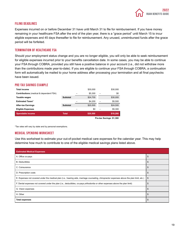

#### Filing Deadlines

Expenses incurred on or before December 31 have until March 31 to file for reimbursement. If you have money remaining in your healthcare FSA after the end of the plan year, there is a "grace period" until March 15 to incur eligible expenses and 45 days thereafter to file for reimbursement. Any unused, unreimbursed funds after the grace period will be forfeited.

#### Termination of Healthcare FSA

Should your employment status change and you are no longer eligible, you will only be able to seek reimbursement for eligible expenses incurred prior to your benefits cancellation date. In some cases, you may be able to continue your FSA through COBRA, provided you still have a positive balance in your account (i.e., did not withdraw more than the contributions made year-to-date). If you are eligible to continue your FSA through COBRA, a continuation form will automatically be mailed to your home address after processing your termination and all final paychecks have been issued.

#### Pre-tax Savings Example

| <b>Total income</b>                            |                 |                          | \$30,000 | \$30,000 |     |
|------------------------------------------------|-----------------|--------------------------|----------|----------|-----|
| <b>Contributions</b> (medical & dependent FSA) |                 |                          | \$5.300  | -        | \$0 |
| <b>Taxable wages</b>                           | Subtotal        |                          | \$24,700 | \$30,000 |     |
| <b>Estimated Taxes*</b>                        |                 |                          | \$4,200  | \$5,500  |     |
| <b>After-tax Earnings</b>                      | <b>Subtotal</b> |                          | \$20,500 | \$24,500 |     |
| <b>Eligible Expenses</b>                       |                 |                          | \$0      | \$5,300  |     |
| Spendable income                               | <b>Total</b>    |                          | \$20,500 | \$19,200 |     |
|                                                |                 | Pre-tax Savings: \$1,300 |          |          |     |

\*Tax rates will vary by state and by personal exemptions.

#### Medical Spending Worksheet

Use this worksheet to estimate your out-of-pocket medical care expenses for the calendar year. This may help determine how much to contribute to one of the eligible medical savings plans listed above.

| <b>Estimated Medical Expenses</b>                                                                                                          |    |
|--------------------------------------------------------------------------------------------------------------------------------------------|----|
| A. Office co-pays                                                                                                                          | \$ |
| <b>B.</b> Deductibles                                                                                                                      | \$ |
| C. Coinsurance                                                                                                                             | \$ |
| D. Prescription costs                                                                                                                      | \$ |
| E. Expenses not covered under the medical plan (i.e., hearing aids, marriage counseling, chiropractor expenses above the plan limit, etc.) | \$ |
| F. Dental expenses not covered under the plan (i.e., deductibles, co-pays, orthodontia or other expenses above the plan limit)             | S  |
| G. Vision expenses                                                                                                                         | \$ |
| H. Other                                                                                                                                   | \$ |
| <b>Total expenses</b>                                                                                                                      | \$ |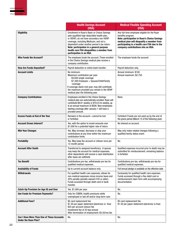|                                                                                  | <b>Health Savings Account</b><br>(HSA)                                                                                                                                                                                                                                                                                                                    | <b>Medical Flexible Spending Account</b><br>(FSA)                                                                                                                                                                                                             |
|----------------------------------------------------------------------------------|-----------------------------------------------------------------------------------------------------------------------------------------------------------------------------------------------------------------------------------------------------------------------------------------------------------------------------------------------------------|---------------------------------------------------------------------------------------------------------------------------------------------------------------------------------------------------------------------------------------------------------------|
| <b>Eligibility</b>                                                               | Enrollment in Ruan's Basic or Choice Savings<br>plan (qualified high deductible health plan,<br>or HDHP), do not have secondary non-HDHP<br>coverage, including Medicare, and not a<br>dependent under another person's tax return.<br>Note: participation in a general purpose<br>health care FSA disqualifies a member from<br>participation in an HSA. | Any full-time employee eligible for the Ruan<br>benefits program.<br><b>Note: participation in Ruan's Choice Savings</b><br>medical plan will disqualify a member from<br>participating in a health care FSA due to the<br>company contributions into an HSA. |
| <b>Who Funds the Account?</b>                                                    | The employee funds the account. Those enrolled<br>in the Choice Savings medical plan receive a<br>company contribution.                                                                                                                                                                                                                                   | The employee funds the account.                                                                                                                                                                                                                               |
| <b>How Are Funds Deposited?</b>                                                  | Payroll deduction or online bank transfer.                                                                                                                                                                                                                                                                                                                | Payroll deduction only.                                                                                                                                                                                                                                       |
| <b>Account Limits</b>                                                            | No minimum.<br>Maximum contribution per year:<br>\$3,650 single coverage<br>\$7,300 Employee + Spouse/Child/Family<br>coverage<br>If coverage starts mid-year, may still contribute<br>the maximum provided you remain in the HDHP<br>medical plan the following year.                                                                                    | Annual minimum: \$100<br>Annual maximum: \$2,750                                                                                                                                                                                                              |
| <b>Company Contributions</b>                                                     | Employees enrolled in the Choice Savings<br>medical plan are automatically enrolled. Ruan will<br>contribute \$9.61 weekly or \$19.23 bi-weekly, up<br>to an annual maximum of \$500. New employees<br>starting coverage after January 1 will have a<br>prorated amount.                                                                                  | None.                                                                                                                                                                                                                                                         |
| <b>Excess Funds at End of the Year</b>                                           | Remains in the account-cannot be lost<br>or forfeited.                                                                                                                                                                                                                                                                                                    | Forfeited if funds are not used up by the end of<br>the grace period (March 15 of the following year).                                                                                                                                                        |
| <b>Account Draws Interest?</b>                                                   | Yes, with the option to invest amounts over<br>\$1,000 for a potential higher rate of return.                                                                                                                                                                                                                                                             | No interest on account.                                                                                                                                                                                                                                       |
| <b>Mid-Year Changes</b>                                                          | Yes. May increase, decrease or stop your<br>contributions at any time within the maximum<br>contribution limits.                                                                                                                                                                                                                                          | May only make related changes following a<br>qualified family status event.                                                                                                                                                                                   |
| <b>Portability</b>                                                               | Yes. May keep the account or rollover once per<br>12-month period.                                                                                                                                                                                                                                                                                        | No.                                                                                                                                                                                                                                                           |
| <b>Account After Death</b>                                                       | Transferred to assigned beneficiary. A spouse<br>may keep the account for medical expenses;<br>other dependents will receive a cash distribution<br>after taxes are withheld.                                                                                                                                                                             | Qualified expenses incurred prior to death may be<br>submitted for reimbursement; remaining balance<br>is forfeited.                                                                                                                                          |
| <b>Tax Benefit</b>                                                               | Contributions pre-tax; withdrawals pre-tax for<br>qualified medical expenses.                                                                                                                                                                                                                                                                             | Contributions pre-tax; withdrawals pre-tax for<br>qualified medical expenses.                                                                                                                                                                                 |
| <b>Availability of Funds</b>                                                     | Up to current account balance only.                                                                                                                                                                                                                                                                                                                       | Full annual pledge is available on the effective date.                                                                                                                                                                                                        |
| <b>Withdrawals</b>                                                               | For qualified health care expenses; allows for<br>non-medical expenses minus income taxes and<br>20% penalty (penalty waived if 65 or older).<br>Funds accessed through debit card or bank<br>transfer.                                                                                                                                                   | Exclusively for qualified health care expenses.<br>Funds accessed through a flex debit card or<br>reimbursement claim form with accompanying<br>documentation.                                                                                                |
| <b>Catch-Up Provision for Age 55 and Over</b>                                    | Yes. \$1,000 per year.                                                                                                                                                                                                                                                                                                                                    | No.                                                                                                                                                                                                                                                           |
| <b>Use Funds for Premium Payments?</b>                                           | Only for COBRA, health premiums while<br>unemployed or laid off and/or long-term care.                                                                                                                                                                                                                                                                    | No.                                                                                                                                                                                                                                                           |
| <b>Additional Fees?</b>                                                          | \$5 card replacement fee<br>\$1.50 per paper statement (electronic is free)<br>\$25 per account closure fee<br>Investment fee of 25 bps annual<br>After termination of employment: \$3.50/mo.fee                                                                                                                                                          | \$5 card replacement fee<br>\$1.50 per paper statement (electronic is free)                                                                                                                                                                                   |
| <b>Can I Have More Than One of These Accounts</b><br><b>Under the Ruan Plan?</b> | No.                                                                                                                                                                                                                                                                                                                                                       | No.                                                                                                                                                                                                                                                           |

Medical Savings Comparison Chart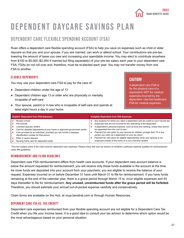

## <span id="page-20-0"></span>Dependent Daycare Savings Plan

#### Dependent Care Flexible Spending Account (FSA)

Ruan offers a dependent care flexible spending account (FSA) to help you save on expenses such as child or elder daycare so that you and your spouse, if you are married, can work or attend school. Your contributions are pre-tax, lowering the amount of taxes you owe and increasing your spendable income. You may elect to contribute anywhere from \$100 to \$5,000 (\$2,500 if married but filing separately) of your pre-tax salary each year to your dependent care FSA. FSAs do not roll over and, therefore, must be re-elected each year. You may not transfer money from one FSA to another.

#### Eligible Dependents

You may use your dependent care FSA to pay for the care of:

- Dependent children under the age of 13
- **Dependent children age 13 or older who are physically or mentally** incapable of self-care
- Your spouse, parent or in-law who is incapable of self-care and spends at least eight hours a day in your home

#### CAUTION!

A dependent care FSA is for the physical care of a dependent; NOT for medical expenses incurred by the dependent. Use the healthcare FSA for medical expenses.

| <b>Eligible* Dependent Care FSA Expenses</b>                            | Ineligible Dependent Care FSA Expenses                                         |
|-------------------------------------------------------------------------|--------------------------------------------------------------------------------|
| Nursery school                                                          | Any expense for which you claim a dependent care tax credit on your income tax |
| Pre-schools                                                             | Expenses that are not incurred for the well-being of the dependent             |
| Licensed daycare centers                                                | A dependent's personal expense, such as food and clothing, unless they cannot  |
| Care for disabled dependents at your home or approved government center | be separated from the cost of care                                             |
| Care provided by an individual, provided you can furnish a taxpayer     | Payment for care given by your spouse for children younger than 19 or any      |
| identification number for that person                                   | person you claim as a dependent on your tax return                             |
| Elder or senior daycare                                                 | Payment for care given for eligible dependent(s) when your spouse is not       |
| Nursing home care for dependent adult                                   | employed outside of the home or is not a full-time student                     |

\*This list contains some of the most common dependent care expenses. Please check with your tax advisor on whether a particular expense qualifies for reimbursement under IRS guidelines.

#### Reimbursement and Filing Deadlines

Dependent care FSA reimbursement differs from health care accounts. If your dependent care account balance is below the amount requested for reimbursement, you will receive only those funds available in the account at the time. As more funds are deposited into your account from your paycheck, you are eligible to receive the balance of your request. Expenses incurred on or before December 31 have until March 31 to file for reimbursement. If you have funds remaining at the end of the calendar year, there is a grace period through March 15 to incur eligible expenses and 45 days thereafter to file for reimbursement. **Any unused, unreimbursed funds after the grace period will be forfeited.**  Therefore, you should estimate your annual out-of-pocket expense carefully and conservatively.

Claim forms are available on the Hub, at voya.benstrat.com or through Human Resources.

#### Dependent Care FSA vs. Tax Credit?

Dependent care expenses reimbursed from your flexible spending account are not eligible for a Dependent Care Tax Credit when you file your income taxes. It is a good idea to consult your tax advisor to determine which option would be the most advantageous based on your personal situation.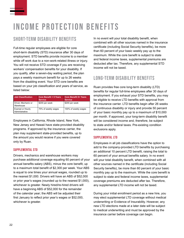## <span id="page-21-0"></span>Income Protection Benefits

#### Short-Term Disability Benefits

Full-time regular employees are eligible for core short-term disability (STD) insurance after 30 days of employment. STD benefits provide income to a member while off work due to a non-work-related illness or injury. You will not receive STD coverage if you are receiving workers' compensation benefits for your disability. If you qualify, after a seven-day waiting period, the plan pays a weekly maximum benefit for up to 26 weeks from the disabling event. Your STD core benefits are based on your job classification and years of service, as listed below:

| <b>Job Classification</b>                 | Core Benefit < 5 Years<br><b>Service</b> | <b>Core Benefit 5+ Years</b><br><b>Service</b> |
|-------------------------------------------|------------------------------------------|------------------------------------------------|
| Driver, Mechanic or<br>Warehouse          | \$200 per week                           | \$200 per week                                 |
| <b>Exempt or Hourly</b><br>Administrative | 75% of weekly wages                      | 100% of weekly wages                           |

Employees in California, Rhode Island, New York, New Jersey and Hawaii have state-provided disability programs. If approved by the insurance carrier, the plan may supplement state-provided benefits, up to the amount you would receive if you were covered only by Ruan.

#### Supplemental STD

Drivers, mechanics and warehouse workers may purchase additional coverage equaling 60 percent of your annual benefits salary (ABS), minus the core benefit, up to a maximum total benefit of \$2,300 per week. Your ABS is equal to one times your annual wages, rounded up to the nearest \$1,000. Drivers will have an ABS of \$52,000 or prior year's wages (rounded up to the nearest \$1,000), whichever is greater. Newly hired/re-hired drivers will have a beginning ABS of \$52,000 for the remainder of the calendar year; the ABS will be adjusted their first January to reflect prior year's wages or \$52,000, whichever is greater.

In no event will your total disability benefit, when combined with all other sources named in the insurance certificate (including Social Security benefits), be more than 60 percent of your basic weekly pay up to the maximum. While the core benefit is subject to state and federal income taxes, supplemental premiums are deducted after tax. Therefore, any supplemental STD income will not be taxed.

#### Long-term Disability Benefits

Ruan provides free core long-term disability (LTD) benefits for regular full-time employees after 30 days of employment. If you exhaust your STD benefits, you may be eligible to receive LTD benefits with approval from the insurance carrier. LTD benefits begin after 26 weeks of continuous disability or injury and provide 50 percent of your basic monthly pay up to a maximum of \$10,000 per month. If approved, your long-term disability benefit will be considered income and, therefore, be subject to state and/or federal taxes. Pre-existing condition exclusions apply.

#### Supplemental LTD

Employees in all job classifications have the option to add to the company-provided LTD benefits by purchasing an additional 10 percent LTD benefit, raising the total to 60 percent of your annual benefits salary. In no event will your total disability benefit, when combined with all other sources named in the certificate (including Social Security benefits), be more than 60 percent of your basic monthly pay up to the maximum. While the core benefit is subject to state and federal income taxes, supplemental coverage premiums are deducted after tax. Therefore, any supplemental LTD income will not be taxed.

During your initial enrollment period as a new hire, you may elect supplemental LTD coverage without medical underwriting or Evidence of Insurability. However, any new LTD elections made at a later date will be subject to medical underwriting and must be approved by the insurance carrier before coverage can begin.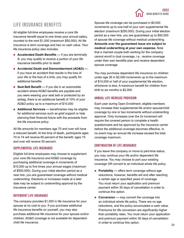#### Life Insurance Benefits

All eligible full-time employees receive a core life insurance benefit equal to one times your annual salary, rounded to the next \$1,000 (maximum \$50,000). All life insurance is term coverage and has no cash value. Your life insurance policy also includes:

- **Accelerated Death Benefits —** if you are terminally ill, you may qualify to receive a portion of your life insurance benefits prior to death
- **Accidental Death and Dismemberment (AD&D)**  if you have an accident that results in the loss of your life or the loss of a limb, you may qualify for additional benefits
- **Seat Belt Benefit —** if you die in an automobile accident where AD&D benefits are payable and you were wearing your seat belt or protected by an airbag, there is an additional benefit of 10% of your AD&D policy up to a maximum of \$10,000
- **Additional Services —** beneficiaries may be eligible for additional services such as grief support or help planning their financial future with the proceeds from the life insurance policy

All life amounts for members age 70 and over will have a reduced benefit. At the time of death, participants ages 70 to 74 will receive 65 percent of the benefit; ages 75 and over will receive 50 percent.

#### Supplemental Life Insurance

Eligible full-time employees may choose to supplement your core life insurance and AD&D coverage by purchasing additional coverage in increments of \$10,000 up to five times your annual wages (maximum of \$500,000). During your initial election period as a new hire, you are guaranteed coverage without medical underwriting. Elections or increases made at a later date may be subject to underwriting approval by the insurance carrier.

#### Dependent Life Insurance

The company provides \$1,000 in life insurance for your spouse at no cost to you. If you purchase additional life insurance benefits on yourself, you may also purchase additional life insurance for your spouse and/or children. AD&D coverage is not available for dependent child life insurance.

Spouse life coverage can be purchased in \$5,000 increments up to one-half of your own supplemental life election (maximum \$250,000). During your initial election period as a new hire, you are guaranteed up to \$50,000 of spouse life coverage without medical underwriting. **Amounts over the guaranteed issue are subject to medical underwriting at your own expense.** Note that a married couple both working for the company cannot enroll in dual coverage, i.e., receive coverage under their own benefits plan and receive dependent spouse coverage.

You may purchase dependent life insurance on children under age 26 in \$2,000 increments up to the maximum of \$10,000 or half of your supplemental life election, whichever is less. A maximum benefit for children from birth to six months is \$2,000.

#### Annual Life Increase Provision

Each year during Open Enrollment, eligible members may increase their supplemental life and/or spouse/child coverage by one or two increments without underwriting approval. Only increases over the 2x increment will require the covered person to complete a health questionnaire and be approved by the insurance carrier before the additional coverage becomes effective. In no event may an annual life increase exceed the total coverage maximum.

#### Continuation of Life Insurance

If you leave the company or move to part-time status, you may continue your life and/or dependent life insurance. You may choose to port your existing coverage OR convert to an individual whole life policy.

- **Portability —** offers term coverage without age reductions; however, benefits will end after reaching a certain age or specified years of coverage. You must return your application and premium payment within 30 days of cancellation in order to continue this option.
- **Conversion —** may convert the coverage into an individual whole life policy. There are no age reductions, and the policy accumulates a cash value. Premiums for life conversion are significantly higher than portability rates. You must return your application and premium payment within 30 days of cancellation in order to continue this option.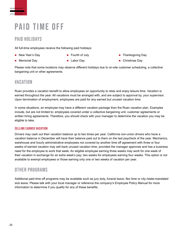## <span id="page-23-0"></span>PAID TIME OFF

#### PAID HOLIDAYS

All full-time employees receive the following paid holidays:

■ New Year's Day

**Fourth of July** 

**Memorial Day** 

- 
- **Labor Dav**
- **Thanksgiving Day**
- Christmas Day

Please note that some locations may observe different holidays due to on-site customer scheduling, a collective bargaining unit or other agreements.

#### **VACATION**

Ruan provides a vacation benefit to allow employees an opportunity to relax and enjoy leisure time. Vacation is earned throughout the year. All vacations must be arranged with, and are subject to approval by, your supervisor. Upon termination of employment, employees are paid for any earned but unused vacation time.

In some situations, an employee may have a different vacation package than the Ruan vacation plan. Examples include, but are not limited to: employees covered under a collective bargaining unit, customer agreements or written hiring agreements. Therefore, you should check with your manager to determine the vacation you may be eligible to take.

#### Selling Earned Vacation

Drivers may cash out their vacation balance up to two times per year. California non-union drivers who have a vacation balance in December will have their balance paid out to them on the last paycheck of the year. Mechanics, warehouse and hourly administrative employees not covered by another time off agreement with three or four weeks of earned vacation may sell back unused vacation time, provided the manager approves and has a business need for the employee to work that week. An eligible employee earning three weeks may work for one week of their vacation in exchange for an extra week's pay; two weeks for employees earning four weeks. This option is not available to exempt employees or those earning only one or two weeks of vacation per year.

#### Other Programs

Additional paid time off programs may be available such as jury duty, funeral leave, flex time or city-/state-mandated sick leave. Please talk with your local manager or reference the company's Employee Policy Manual for more information to determine if you qualify for any of these benefits.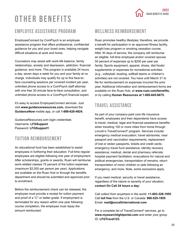## <span id="page-24-0"></span>Other Benefits



#### Employee Assistance Program

EmployeeConnect by ComPsych is an employee assistance program that offers professional, confidential guidance for you and your loved ones, helping navigate difficult situations at work and home.

Counselors may assist with work-life balance, family relationships, anxiety and depression, addiction, financial guidance, and more. This program is available 24 hours a day, seven days a week for you and your family at no charge. Individuals may qualify for up to five face-toface counseling sessions per covered incident per year, unlimited phone access to a ComPsych staff attorney with one free 30-minute face-to-face consultation, and unlimited phone access to a ComPsych financial expert.

It's easy to access EmployeeConnect services. Just visit **www.guidanceresources.com,** download the **GuidanceNow** mobile app, or call **1-888-628-4824.** 

GuidanceResources.com login credentials: Username: **LFGSupport** Password: **LFGSupport1**

#### Tuition Reimbursement

An educational fund has been established to assist employees in furthering their education. Full-time regular employees are eligible following one year of employment. After scholarships, grants or awards, Ruan will reimburse work-related classes 75 percent of the tuition expenses (maximum \$2,000 per person per year). Applications are available on the Ruan Hub or through the benefits department and should be submitted and approved prior to enrollment.

Before the reimbursement check can be released, the employee must provide a receipt for tuition payment and proof of a "C" or better grade. If employment is terminated for any reason within one year following course completion, the employee must repay the amount reimbursed.

#### Wellness Reimbursement

Ruan promotes healthy lifestyles; therefore, we provide a benefit for participation in an approved fitness facility, weight loss program or smoking cessation course. After 30 days of service, the company will reimburse an eligible, full-time employee and/or covered spouse 50 percent of expenses up to \$200 per year per family. Sports equipment, apparel, shoes, diet foods/ supplements or expenses for recreational activities (e.g., volleyball, bowling, softball teams or children's activities) are not covered. You have until March 31 to file for reimbursement on expenses incurred the prior year. Additional information and reimbursement forms are available on the Ruan Hub, at **www.ruan.com/benefits,**  or by calling **Human Resources at 1-800-845-6675.**

#### Travel Assistance

As part of your company-paid core life insurance benefit, employees and their dependents have access to travel, medical, legal and financial assistance benefits when traveling 100 or more miles from home through Lincoln's TravelConnect® program. Services include: emergency medical evacuation; travel advisories; visa/ passport and vaccination requirements; replacement of lost or stolen passports, tickets and credit cards; emergency travel fund assistance; identity recovery assistance; medical, dental and pharmacy referrals; hospital payment facilitation; evacuations for natural and political emergencies; transportation of remains; return transportation of minor children or pets following an emergency; and more. Note, some exclusions apply.

If you need medical, security or travel assistance, regardless of the nature or severity of your situation, **contact On Call 24 hours a day:**

Call collect from anywhere in the world: **+1-603-328-1955** Call **toll free** from the U.S. or Canada: **866-525-1955** Email: **mail@oncallinternational.com**

For a complete list of TravelConnect® services, go to **www.mysearchlightportal.com** and enter your group ID: **LFGTravel123.**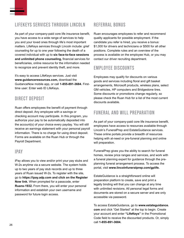#### LifeKeys Services through Lincoln

As part of your company-paid core life insurance benefit, you have access to a wide range of services to help you and your loved ones through life's most important matters. LifeKeys services through Lincoln include: grief counseling for up to one year following the death of a covered individual with up to **six face-to-face sessions and unlimited phone counseling,** financial services for beneficiaries, online resource for the information needed to recognize and prevent identity theft, and more.

It's easy to access LifeKeys services. Just visit **www.guidanceresources.com,** download the GuidanceNow mobile app, or call **1-855-891-3684.** Firsttime user: Enter web ID LifeKeys.

#### Direct Deposit

Ruan offers employees the benefit of payment through direct deposit. Any employee with a savings or checking account may participate. In this program, you authorize your pay to be automatically deposited into the account(s) of your choice every payday. You will still receive an earnings statement with your personal payroll information. There is no charge for using direct deposit. Forms are available on the Ruan Hub or through the Payroll Department.

#### iPay

iPay allows you to view and/or print your pay stubs and W-2s anytime via a secure website. The system holds up to two years of pay stub records and up to three years of Ruan issued W-2s. To register with the site, go to **https://ipay.adp.com and click on the Register Now link.** When prompted for a passcode, enter **Ruans-1932.** From there, you will enter your personal information and establish your own username and password for future login access.

#### Referral Bonus

Ruan encourages employees to refer and recommend quality applicants for possible employment. If the candidate you refer is hired, you receive a bonus: \$1,000 for drivers and technicians or \$500 for all other positions. Complete rules and an overview of the process is available on the employee Hub, or you may contact our driver recruiting department.

#### Employee Discounts

Employees may qualify for discounts on various goods and services including floral and gift basket arrangements, Microsoft products, wireless plans, select GM vehicles, HP computers and Bridgestone tires. Some discounts or promotions change regularly, so please check the Ruan Hub for a list of the most current discounts available.

#### Funeral and Will Preparation

As part of your company-paid core life insurance benefit, employees have access to resources available through Lincoln's FuneralPrep and EstateGuidance services. These online portals provide a breadth of resources helping with at-need or pre-funeral planning and online will preparation.

FuneralPrep gives you the ability to search for funeral homes, review price ranges and services, and work with a funeral planning expert for guidance through the preplanning funeral arrangement process. To access the portal, visit **www.lincolnfuneralprep.com/gplife.** 

EstateGuidance is a straightforward online will preparation platform to create, save and print a legally binding will that you can change at any time with unlimited revisions. All personal legal forms and documents are stored on a secure server and are only accessible via password.

To access EstateGuidance, go to **www.estateguidance. com** and click "Get Started" at the top to begin. Create your account and enter **"LifeKeys"** in the Promotional Code field to receive the discounted products. Or, simply call **1-855-891-3684.**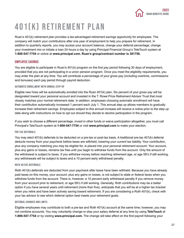

## <span id="page-26-0"></span>401(k) Retirement Plan

Ruan's 401(k) retirement plan provides a tax-advantaged retirement savings opportunity for employees. The company will match your contributions after one year of employment to help you prepare for retirement. In addition to quarterly reports, you may access your account balance, change your deferral percentage, change your investment mix or initiate a loan 24 hours a day by using Principal Financial Group's TeleTouch system at **1-800-547-7754** or online at **www.principal.com. Ruan's group/contract number is 381756.** 

#### Employee Savings

You are eligible to participate in Ruan's 401(k) program on the first pay period following 30 days of employment, provided that you are not participating in a union pension program. Once you meet the eligibility requirements, you may enter the plan at any time. You will contribute a percentage of your gross pay (including overtime, commissions and bonuses) each pay period through payroll deduction.

#### Automatic Enrollment with Annual Step-up

Eligible new hires will be automatically enrolled into the Ruan 401(k) plan. Six percent of your gross pay will be designated toward your personal account and invested in the T. Rowe Price Retirement Advisor Trust that most closely matches your normal retirement date. In addition, employees choosing automatic enrollment will have their contribution automatically increased 1 percent each July 1. This annual step up allows members to gradually increase their retirement savings. Employees subject to this annual increase will receive a notice prior to the step up date along with instructions on how to opt out should they decide to decline participation in the program.

If you wish to choose a different percentage, invest in other funds or waive participation altogether, you must call Principal's TeleTouch system at **1-800-547-7754** or visit **www.principal.com** to make your election.

#### Pre-tax Deferrals

You may elect 401(k) deferrals to be deducted on a pre-tax or post-tax basis. A traditional pre-tax 401(k) deferral deducts money from your paycheck before taxes are withheld, lowering your current tax liability. Your contribution, plus any company matching you may be eligible for, is placed into your personal retirement account. Your account, plus any gains or losses, remains tax free until you begin to withdraw funds from the account. Only the amount of the withdrawal is subject to taxes. If you withdraw money before reaching retirement age, or age 59½ if still working, any withdrawals will be subject to taxes and a 10 percent early withdrawal penalty.

#### Roth 401(k) Deferrals

Roth 401(k) deferrals are deducted from your paycheck after taxes have been withheld. Because you have already paid taxes on this money, your account, plus any gains or losses, is not subject to state or federal taxes when you withdraw funds from the account. There is, however, a 10 percent early withdrawal penalty if you remove money from your account prior to retirement, or age 59½ if still working. Generally, Roth contributions may be a better option if you have several years until retirement (more than five), anticipate that you will be at a higher tax bracket when you retire and have been actively saving toward retirement. If you are considering a Roth 401(k), check with your tax advisor to see which deferral option best meets your retirement goals.

#### Deferral Changes and Limits

Eligible employees may contribute to both a pre-tax and Roth 401(k) account at the same time; however, you may not combine accounts. You may voluntarily change or stop your salary deferral at any time by using **TeleTouch** at **1-800-547-7754** or by visiting **www.principal.com.** The change will take effect on the first payroll following your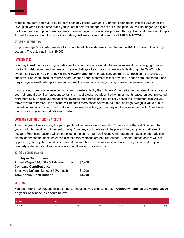request. You may defer up to 80 percent each pay period, with an IRS annual contribution limit of \$20,500 for the 2022 plan year. Please note that if you initiate a deferral change or opt out of the plan, you will no longer be eligible for the annual step up program. You may, however, sign up for a similar program through Principal Financial Group's Annual Increase option. For more information, visit **www.principal.com** or call **1-800-547-7754.**

#### Catch-Up Contributions

Employees age 50 or older are able to contribute additional deferrals over the annual IRS limit toward their 401(k) account. The catch-up limit is \$6,500.

#### Investments

You may invest the money in your retirement account among several different investment funds ranging from low risk to high risk. Investment returns and detailed listings of each account are available through the **TeleTouch** system at **1-800-547-7754** or by visiting **www.principal.com.** In addition, you may use these same resources to check your personal account returns and/or change your investment mix at any time. Please note that some funds may charge a small redemption fee and/or limit the number of times you may transfer between accounts.

If you are not comfortable selecting your own investments, try the T. Rowe Price Retirement Advisor Trust closest to your retirement age. Each account contains a mix of stocks, bonds and other investments based on your projected retirement age. An account manager will oversee the portfolio and periodically adjust the investment mix. As you move toward retirement, the account will become more conservative to help reduce large swings in value due to market fluctuations. If you do not make an investment election, your money will be invested in the T. Rowe Price fund closest to your normal retirement date.

#### Company Contributions (Matches)

After one year of service, eligible participants will receive a match equal to 50 percent of the first 6 percent that you contribute (maximum 3 percent of pay). Company contributions will be placed into your pre-tax retirement account; Roth contributions will be matched in the same manner. Executive management may also offer additional discretionary contributions; however, discretionary matches are not guaranteed. Note that match dollars will not appear on your paycheck as it is not earned income; however, company contributions may be viewed on your quarterly statements and your online account at **www.principal.com.**

#### 401(k) Matching Example

| <b>Employee Contribution:</b>         |          |         |
|---------------------------------------|----------|---------|
| Annual Wages \$40,000 x 6% deferral   | $=$      | \$2,400 |
| <b>Company Contributions:</b>         |          |         |
| Employee Deferral \$2,400 x 50% match | $\equiv$ | \$1,200 |
| <b>Total Annual Contributions</b>     |          | \$3,600 |

#### **VESTING**

You are always 100 percent vested in the contributions you choose to defer. **Company matches are vested based on years of service, as shown below.** 

| Years   |    |     |                      |     |     |      |
|---------|----|-----|----------------------|-----|-----|------|
| Vesting | 0% | 20% | 40%<br>$\sim$ $\sim$ | 60% | 80% | 100% |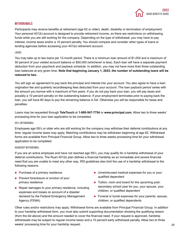#### **WITHDRAWALS**

Participants may receive benefits at retirement (age 62 or older), death, disability or termination of employment. Your personal 401(k) account is designed to provide retirement income, so there are restrictions on withdrawing funds while you are still working for the company. Depending on the type of withdrawal, you may have to pay interest, income taxes and/or a 10 percent penalty. You should compare and consider other types of loans or lending agencies before accessing your 401(k) retirement account.

#### Loans

You may take up to two loans per 12-month period. There is a minimum loan amount of \$1,000 and a maximum of 50 percent of your vested account balance or \$50,000 (whichever is less). Each loan will have a separate payment deduction from your paycheck and payback schedule. In addition, you may not have more than three outstanding loan balances at any given time. **Note that beginning January 1, 2023, the number of outstanding loans will be reduced to two.**

You will sign an agreement to pay back the principal and interest into your account. You also agree to have a loan origination fee and quarterly recordkeeping fees deducted from your account. The loan payback period varies with the amount you borrow with a maximum of five years. If you do not pay back your loan, you will pay taxes and possibly a 10 percent penalty on the outstanding balance. If your employment terminates prior to paying back the loan, you will have 60 days to pay the remaining balance in full. Otherwise you will be responsible for taxes and penalties.

Loans may be requested through **TeleTouch** at **1-800-547-7754** or **www.principal.com.** Allow two to three weeks' processing time for your loan application to be completed.

#### 59½ Withdrawal

Employees age 59½ or older who are still working for the company may withdraw their deferral contributions at any time; regular income taxes may apply. Matching contributions may be withdrawn beginning at age 62. Withdrawal forms are available from Principal Financial Group. Allow two to three weeks processing time for your withdrawal application to be completed.

#### Hardship Withdrawal

If you are an active employee and have not reached age 59½, you may qualify for a hardship withdrawal of your deferral contributions. The Ruan 401(k) plan defines a financial hardship as an immediate and severe financial need that you are unable to meet any other way. IRS guidelines also limit the use of a hardship withdrawal to the following reasons:

- **Purchase of a primary residence**
- **Prevent foreclosure or eviction of your** primary residence
- Repair damages to your primary residence, including expenses and losses on account of a disaster declared by the Federal Emergency Management Agency (FEMA)
- **Unreimbursed medical expenses for you or your** qualified dependent
- Tuition, room and board for the upcoming postsecondary school year for you, your spouse, your children, or qualified dependent
- **Funeral or burial expenses for your parents, spouse,** children, or qualified dependents

Other rules and/or restrictions may apply. Withdrawal forms are available from Principal Financial Group. In addition to your hardship withdrawal form, you must also submit supporting documentation showing the qualifying reason (from the list above) and the amount needed to cover the financial need. If your request is approved, hardship withdrawals may be subject to regular income taxes and a 10 percent early withdrawal penalty. Allow two to three weeks' processing time for your hardship request. 29 AMS and the state of the state of the state of the state o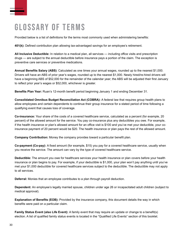## <span id="page-29-0"></span>Glossary of Terms

Provided below is a list of definitions for the terms most commonly used when administering benefits:

**401(k):** Defined contribution plan allowing tax-advantaged savings for an employee's retirement.

**All Inclusive Deductible:** In relation to a medical plan, all services — including office visits and prescription drugs — are subject to the annual deductible before insurance pays a portion of the claim. The exception is preventive care services or preventive medications.

**Annual Benefits Salary (ABS)**: Calculated as one times your annual wages, rounded up to the nearest \$1,000. Drivers will have an ABS of prior year's wages, rounded up to the nearest \$1,000. Newly hired/re-hired drivers will have a beginning ABS of \$52,000 for the remainder of the calendar year; the ABS will be adjusted their first January to reflect prior year's wages or \$52,000, whichever is greater.

**Benefits Plan Year:** Ruan's 12-month benefit period beginning January 1 and ending December 31.

**Consolidated Omnibus Budget Reconciliation Act (COBRA):** A federal law that requires group health plans to allow employees and certain dependents to continue their group insurance for a stated period of time following a qualifying event that causes loss of coverage.

**Co-insurance:** Your share of the costs of a covered healthcare service, calculated as a percent (for example, 20 percent) of the allowed amount for the service. You pay co-insurance plus any deductibles you owe. For example, if the health insurance or plan's allowed amount for an office visit is \$100 and you've met your deductible, your coinsurance payment of 20 percent would be \$20. The health insurance or plan pays the rest of the allowed amount.

**Company Contribution:** Money the company provides toward a particular benefit plan.

**Co-payment (Co-pay):** A fixed amount (for example, \$15) you pay for a covered healthcare service, usually when you receive the service. The amount can vary by the type of covered healthcare service.

**Deductible:** The amount you owe for healthcare services your health insurance or plan covers before your health insurance or plan begins to pay. For example, if your deductible is \$1,000, your plan won't pay anything until you've met your \$1,000 deductible for covered healthcare services subject to the deductible. The deductible may not apply to all services.

**Deferral:** Monies that an employee contributes to a plan through payroll deduction.

**Dependent:** An employee's legally married spouse, children under age 26 or incapacitated adult children (subject to medical approval).

**Explanation of Benefits (EOB):** Provided by the insurance company, this document details the way in which benefits were paid on a particular claim.

**Family Status Event (also Life Event):** A family event that may require an update or change to a benefit(s) election. A list of qualified family status events is located in the "Qualified Life Events" section of this booklet.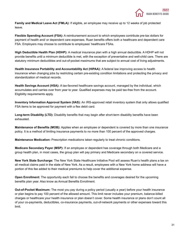

**Family and Medical Leave Act (FMLA):** If eligible, an employee may receive up to 12 weeks of job protected leave.

**Flexible Spending Account (FSA):** A reimbursement account to which employees contribute pre-tax dollars for payment of health and/ or dependent care expenses. Ruan benefits offers both a healthcare and dependent care FSA. Employers may choose to contribute to employees' healthcare FSAs.

**High Deductible Health Plan (HDHP):** A medical insurance plan with a high annual deductible. A HDHP will not provide benefits until a minimum deductible is met, with the exception of preventative and well-child care. There are statutory minimum deductibles and out-of-pocket maximums that are subject to annual cost of living adjustments.

**Health Insurance Portability and Accountability Act (HIPAA):** A federal law improving access to health insurance when changing jobs by restricting certain pre-existing condition limitations and protecting the privacy and standardization of medical records.

**Health Savings Account (HSA):** A tax-favored healthcare savings account, managed by the individual, which accumulates and carries over from year to year. Qualified expenses may be paid tax-free from the account. Eligibility requirements apply.

**Inventory Information Approval System (IIAS):** An IRS-approved retail inventory system that only allows qualified FSA items to be approved for payment with a flex debit card.

**Long-term Disability (LTD):** Disability benefits that may begin after short-term disability benefits have been exhausted.

**Maintenance of Benefits (MOB):** Applies when an employee or dependent is covered by more than one insurance policy. It is a method of limiting insurance payments to no more than 100 percent of the approved charges.

**Maintenance Medication:** Prescription medications taken regularly to treat chronic conditions.

**Medicare Secondary Payer (MSP):** If an employee or dependent has coverage through both Medicare and a group health plan, in most cases, the group plan will pay primary and Medicare secondary on a covered service.

**New York State Surcharge:** The New York State Healthcare Initiative Pool will assess Ruan's health plans a tax on all medical claims paid in the state of New York. As a result, employees with a New York home address will have a portion of this fee added to their medical premiums to help cover the additional expense.

**Open Enrollment:** The opportunity each fall to choose the benefits and coverages desired for the upcoming benefits plan year. Also know as Annual Benefits Enrollment.

**Out-of-Pocket Maximum:** The most you pay during a policy period (usually a year) before your health insurance or plan begins to pay 100 percent of the allowed amount. This limit never includes your premium, balance-billed charges or healthcare your health insurance or plan doesn't cover. Some health insurance or plans don't count all of your co-payments, deductibles, co-insurance payments, out-of-network payments or other expenses toward this limit.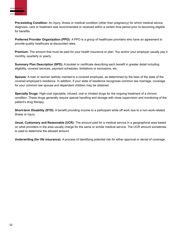

**Preferred Provider Organization (PPO):** A PPO is a group of healthcare providers who have an agreement to provide quality healthcare at discounted rates.

**Premium:** The amount that must be paid for your health insurance or plan. You and/or your employer usually pay it monthly, quarterly or yearly.

**Summary Plan Description (SPD):** A booklet or certificate describing each benefit in greater detail including eligibility, covered services, payment schedules, limitations or exclusions, etc.

**Spouse:** A man or woman lawfully married to a covered employee, as determined by the laws of the state of the covered employee's residence. In addition, if your state of residence recognizes common law marriage, coverage for your common law spouse and dependent children may be obtained.

**Specialty Drugs:** High-cost injectable, infused, oral or inhaled drugs for the ongoing treatment of a chronic condition. These drugs generally require special handling and storage with close supervision and monitoring of the patient's drug therapy.

**Short-term Disability (STD):** A benefit providing income to a participant while off work due to a non-work-related illness or injury.

**Usual, Customary and Reasonable (UCR):** The amount paid for a medical service in a geographical area based on what providers in the area usually charge for the same or similar medical service. The UCR amount sometimes is used to determine the allowed amount.

**Underwriting (for life insurance):** A process of identifying potential risk for either approval or denial of coverage.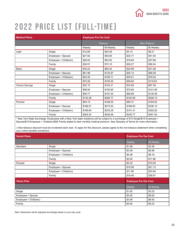## <span id="page-32-0"></span>2022 Price List (Full-Time )

| <b>Medical Plans</b>  |                       | <b>Employee Pre-Tax Cost</b> |                  |          |             |
|-----------------------|-----------------------|------------------------------|------------------|----------|-------------|
|                       |                       | <b>Tobacco</b>               |                  |          | Non-Tobacco |
|                       |                       | Weekly                       | <b>Bi-Weekly</b> | Weekly   | Bi-Weekly   |
| Light                 | Single                | \$12.69                      | \$25.38          | \$4.15   | \$8.31      |
|                       | Employee + Spouse     | \$27.92                      | \$55.85          | \$20.77  | \$41.54     |
|                       | Employee + Child(ren) | \$26.00                      | \$52.00          | \$18.84  | \$37.68     |
|                       | Family                | \$36.57                      | \$73.15          | \$28.27  | \$56.54     |
| Basic                 | Single                | \$30.22                      | \$60.44          | \$20.99  | \$41.98     |
|                       | Employee + Spouse     | \$61.98                      | \$123.97         | \$45.14  | \$90.28     |
|                       | Employee + Child(ren) | \$53.35                      | \$106.71         | \$39.51  | \$79.02     |
|                       | Family                | \$75.28                      | \$150.55         | \$59.82  | \$119.63    |
| <b>Choice Savings</b> | Single                | \$52.15                      | \$104.31         | \$33.69  | \$67.38     |
|                       | Employee + Spouse     | \$96.92                      | \$193.85         | \$70.85  | \$141.69    |
|                       | Employee + Child(ren) | \$95.77                      | \$191.54         | \$69.69  | \$139.38    |
|                       | Family                | \$130.38                     | \$260.77         | \$104.08 | \$208.15    |
| Premier               | Single                | \$94.15                      | \$188.30         | \$80.31  | \$160.62    |
|                       | Employee + Spouse     | \$186.51                     | \$373.03         | \$168.05 | \$336.10    |
|                       | Employee + Child(ren) | \$166.64                     | \$333.28         | \$151.41 | \$302.82    |
|                       | Family                | \$264.24                     | \$528.48         | \$245.77 | \$491.55    |

\* New York State Surcharge: Employees with a New York state residence will be subject to a surcharge of \$10 Single/\$15 Employee + Spouse/\$15 Employee + Child(ren)/\$20 Family added to their monthly medical premium. See Glossary of Terms for more information.

∆ Non-tobacco discount must be re-elected each year. To apply for this discount, please agree to the non-tobacco statement when completing your online benefits enrollment.

| <b>Dental Plans</b>   |                       | <b>Employee Pre-Tax Cost</b> |                  |
|-----------------------|-----------------------|------------------------------|------------------|
|                       |                       | Weekly                       | <b>Bi-Weekly</b> |
| Standard              | Single                | \$1.68                       | \$3.36           |
|                       | Employee + Spouse     | \$3.48                       | \$6.96           |
|                       | Employee + Child(ren) | \$4.08                       | \$8.16           |
|                       | Family                | \$5.94                       | \$11.88          |
| Premier               | Single                | \$5.32                       | \$10.65          |
|                       | Employee + Spouse     | \$10.56                      | \$21.12          |
|                       | Employee + Child(ren) | \$11.98                      | \$23.95          |
|                       | Family                | \$19.46                      | \$38.91          |
| <b>Vision Plan</b>    |                       | <b>Employee Pre-Tax Cost</b> |                  |
|                       |                       | Weekly                       | <b>Bi-Weekly</b> |
| Single                |                       | \$1.62                       | \$3.23           |
| Employee + Spouse     |                       | \$3.00                       | \$6.00           |
| Employee + Child(ren) |                       | \$3.46                       | \$6.92           |
| Family                |                       | \$4.62                       | \$9.23           |

Note: Deductions will be adjusted accordingly based on your pay cycle.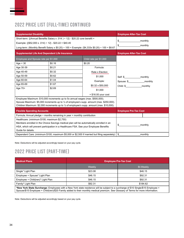#### 2022 Price List (Full-Time) Continued

| <b>Supplemental Disability</b>                                                                                                                                                                                                                          |                                                                                                                                                                                                                                                                                              |                                | <b>Employee After-Tax Cost</b>    |
|---------------------------------------------------------------------------------------------------------------------------------------------------------------------------------------------------------------------------------------------------------|----------------------------------------------------------------------------------------------------------------------------------------------------------------------------------------------------------------------------------------------------------------------------------------------|--------------------------------|-----------------------------------|
| Short-term: {(Annual Benefits Salary x .014) $\div$ 12} - \$20.22 core benefit =<br>Example: $\{(\$52,000 \times .014) \div 12\}$ - \$20.22 = \$40.45<br>Long-term: (Monthly Benefit Salary x \$0.20) ÷ 100 = Example: (\$4,333x \$0.20) ÷ 100 = \$8.67 |                                                                                                                                                                                                                                                                                              | \$<br>monthly<br>\$<br>monthly |                                   |
| <b>Supplemental Life And Dependent Life Insurance</b>                                                                                                                                                                                                   |                                                                                                                                                                                                                                                                                              |                                | <b>Employee After-Tax Cost</b>    |
| Employee and Spouse rate per \$1,000                                                                                                                                                                                                                    |                                                                                                                                                                                                                                                                                              | Child rate per \$1,000         |                                   |
| Age $<$ 30                                                                                                                                                                                                                                              | \$0.16                                                                                                                                                                                                                                                                                       | \$0.20                         |                                   |
| Age 30-39                                                                                                                                                                                                                                               | \$0.21                                                                                                                                                                                                                                                                                       | Formula:                       |                                   |
| Age 40-49                                                                                                                                                                                                                                               | \$0.32                                                                                                                                                                                                                                                                                       | Rate x Election                |                                   |
| Age 50-59                                                                                                                                                                                                                                               | \$0.62                                                                                                                                                                                                                                                                                       | \$1,000                        | Self: \$_________________monthly  |
| Age 60-64                                                                                                                                                                                                                                               | \$1.04                                                                                                                                                                                                                                                                                       | Example:                       | Spouse: \$________________monthly |
| Age 65-69                                                                                                                                                                                                                                               | \$1.67                                                                                                                                                                                                                                                                                       | $$0.32 \times $50,000$         |                                   |
| Age 70+                                                                                                                                                                                                                                                 | \$2.69                                                                                                                                                                                                                                                                                       | \$1,000                        |                                   |
|                                                                                                                                                                                                                                                         |                                                                                                                                                                                                                                                                                              | $=$ \$16.00 your cost          |                                   |
|                                                                                                                                                                                                                                                         | Employee Maximum: \$10,000 increments up to 5x annual wages (max. \$500,000).<br>Spouse Maximum: \$5,000 increments up to $\frac{1}{2}$ of employee's supp. amount (max. \$250,000).<br>Children Maximum: \$2,000 increments up to $\frac{1}{2}$ of employee's supp. amount (max. \$10,000). |                                |                                   |
| <b>Flexible Spending Accounts</b>                                                                                                                                                                                                                       |                                                                                                                                                                                                                                                                                              |                                | <b>Employee Pre-Tax Cost</b>      |
| Formula: Annual pledge $\div$ months remaining in year = monthly contribution                                                                                                                                                                           |                                                                                                                                                                                                                                                                                              |                                |                                   |
| Healthcare: (minimum \$100; maximum \$2,750)                                                                                                                                                                                                            |                                                                                                                                                                                                                                                                                              |                                |                                   |
|                                                                                                                                                                                                                                                         | Members enrolled in the Choice Savings medical plan will be automatically enrolled in an                                                                                                                                                                                                     |                                | \$<br>monthly                     |
|                                                                                                                                                                                                                                                         | HSA, which will prevent participation in a Healthcare FSA. See your Employee Benefits                                                                                                                                                                                                        |                                |                                   |
| Guide for details.                                                                                                                                                                                                                                      |                                                                                                                                                                                                                                                                                              |                                |                                   |
|                                                                                                                                                                                                                                                         | Dependent Care: (minimum \$100; maximum \$5,000 or \$2,500 if married but filing separately)                                                                                                                                                                                                 |                                | \$<br>monthly                     |

Note: Deductions will be adjusted accordingly based on your pay cycle.

#### 2022 Price List (Part-Time)

| <b>Medical Plans</b>                                                                                                                                                                                                                                                    | <b>Employee Pre-Tax Cost</b> |                  |  |
|-------------------------------------------------------------------------------------------------------------------------------------------------------------------------------------------------------------------------------------------------------------------------|------------------------------|------------------|--|
|                                                                                                                                                                                                                                                                         | Weekly                       | <b>Bi-Weekly</b> |  |
| Single* Light Plan                                                                                                                                                                                                                                                      | \$23.08                      | \$46.15          |  |
| Employee + Spouse* Light Plan                                                                                                                                                                                                                                           | \$46.15                      | \$92.31          |  |
| Employee + Child(ren)* Light Plan                                                                                                                                                                                                                                       | \$46.15                      | \$92.31          |  |
| Family* Light Plan                                                                                                                                                                                                                                                      | \$92.31                      | \$184.62         |  |
| *New York State Surcharge: Employees with a New York state residence will be subject to a surcharge of \$10 Single/\$15 Employee +<br>Spouse/\$15 Employee + Child(ren)/\$20 Family added to their monthly medical premium. See Glossary of Terms for more information. |                              |                  |  |

Note: Deductions will be adjusted accordingly based on your pay cycle.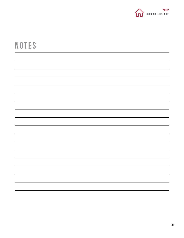

## **NOTES**